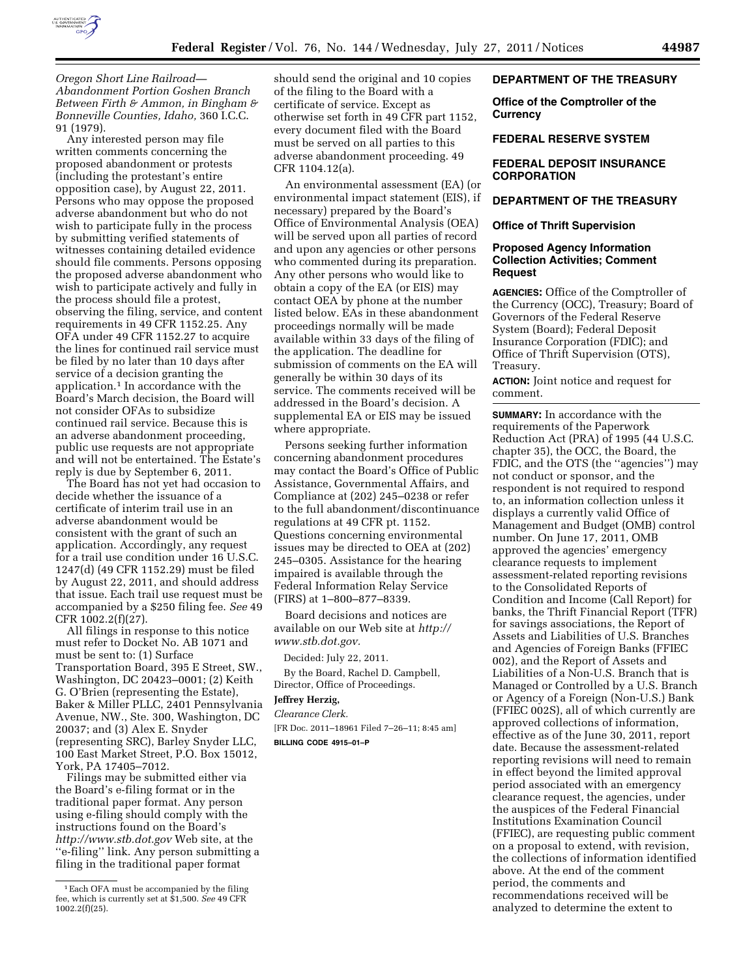

*Oregon Short Line Railroad— Abandonment Portion Goshen Branch Between Firth & Ammon, in Bingham & Bonneville Counties, Idaho,* 360 I.C.C. 91 (1979).

Any interested person may file written comments concerning the proposed abandonment or protests (including the protestant's entire opposition case), by August 22, 2011. Persons who may oppose the proposed adverse abandonment but who do not wish to participate fully in the process by submitting verified statements of witnesses containing detailed evidence should file comments. Persons opposing the proposed adverse abandonment who wish to participate actively and fully in the process should file a protest, observing the filing, service, and content requirements in 49 CFR 1152.25. Any OFA under 49 CFR 1152.27 to acquire the lines for continued rail service must be filed by no later than 10 days after service of a decision granting the application.1 In accordance with the Board's March decision, the Board will not consider OFAs to subsidize continued rail service. Because this is an adverse abandonment proceeding, public use requests are not appropriate and will not be entertained. The Estate's reply is due by September 6, 2011.

The Board has not yet had occasion to decide whether the issuance of a certificate of interim trail use in an adverse abandonment would be consistent with the grant of such an application. Accordingly, any request for a trail use condition under 16 U.S.C. 1247(d) (49 CFR 1152.29) must be filed by August 22, 2011, and should address that issue. Each trail use request must be accompanied by a \$250 filing fee. *See* 49 CFR 1002.2(f)(27).

All filings in response to this notice must refer to Docket No. AB 1071 and must be sent to: (1) Surface Transportation Board, 395 E Street, SW., Washington, DC 20423–0001; (2) Keith G. O'Brien (representing the Estate), Baker & Miller PLLC, 2401 Pennsylvania Avenue, NW., Ste. 300, Washington, DC 20037; and (3) Alex E. Snyder (representing SRC), Barley Snyder LLC, 100 East Market Street, P.O. Box 15012, York, PA 17405–7012.

Filings may be submitted either via the Board's e-filing format or in the traditional paper format. Any person using e-filing should comply with the instructions found on the Board's *<http://www.stb.dot.gov>* Web site, at the ''e-filing'' link. Any person submitting a filing in the traditional paper format

should send the original and 10 copies of the filing to the Board with a certificate of service. Except as otherwise set forth in 49 CFR part 1152, every document filed with the Board must be served on all parties to this adverse abandonment proceeding. 49 CFR 1104.12(a).

An environmental assessment (EA) (or environmental impact statement (EIS), if necessary) prepared by the Board's Office of Environmental Analysis (OEA) will be served upon all parties of record and upon any agencies or other persons who commented during its preparation. Any other persons who would like to obtain a copy of the EA (or EIS) may contact OEA by phone at the number listed below. EAs in these abandonment proceedings normally will be made available within 33 days of the filing of the application. The deadline for submission of comments on the EA will generally be within 30 days of its service. The comments received will be addressed in the Board's decision. A supplemental EA or EIS may be issued where appropriate.

Persons seeking further information concerning abandonment procedures may contact the Board's Office of Public Assistance, Governmental Affairs, and Compliance at (202) 245–0238 or refer to the full abandonment/discontinuance regulations at 49 CFR pt. 1152. Questions concerning environmental issues may be directed to OEA at (202) 245–0305. Assistance for the hearing impaired is available through the Federal Information Relay Service (FIRS) at 1–800–877–8339.

Board decisions and notices are available on our Web site at *[http://](http://www.stb.dot.gov) [www.stb.dot.gov.](http://www.stb.dot.gov)* 

Decided: July 22, 2011.

By the Board, Rachel D. Campbell, Director, Office of Proceedings.

#### **Jeffrey Herzig,**

*Clearance Clerk.*  [FR Doc. 2011–18961 Filed 7–26–11; 8:45 am]

**BILLING CODE 4915–01–P** 

#### **DEPARTMENT OF THE TREASURY**

**Office of the Comptroller of the Currency** 

#### **FEDERAL RESERVE SYSTEM**

## **FEDERAL DEPOSIT INSURANCE CORPORATION**

#### **DEPARTMENT OF THE TREASURY**

#### **Office of Thrift Supervision**

#### **Proposed Agency Information Collection Activities; Comment Request**

**AGENCIES:** Office of the Comptroller of the Currency (OCC), Treasury; Board of Governors of the Federal Reserve System (Board); Federal Deposit Insurance Corporation (FDIC); and Office of Thrift Supervision (OTS), Treasury.

**ACTION:** Joint notice and request for comment.

**SUMMARY:** In accordance with the requirements of the Paperwork Reduction Act (PRA) of 1995 (44 U.S.C. chapter 35), the OCC, the Board, the FDIC, and the OTS (the ''agencies'') may not conduct or sponsor, and the respondent is not required to respond to, an information collection unless it displays a currently valid Office of Management and Budget (OMB) control number. On June 17, 2011, OMB approved the agencies' emergency clearance requests to implement assessment-related reporting revisions to the Consolidated Reports of Condition and Income (Call Report) for banks, the Thrift Financial Report (TFR) for savings associations, the Report of Assets and Liabilities of U.S. Branches and Agencies of Foreign Banks (FFIEC 002), and the Report of Assets and Liabilities of a Non-U.S. Branch that is Managed or Controlled by a U.S. Branch or Agency of a Foreign (Non-U.S.) Bank (FFIEC 002S), all of which currently are approved collections of information, effective as of the June 30, 2011, report date. Because the assessment-related reporting revisions will need to remain in effect beyond the limited approval period associated with an emergency clearance request, the agencies, under the auspices of the Federal Financial Institutions Examination Council (FFIEC), are requesting public comment on a proposal to extend, with revision, the collections of information identified above. At the end of the comment period, the comments and recommendations received will be analyzed to determine the extent to

<sup>1</sup>Each OFA must be accompanied by the filing fee, which is currently set at \$1,500. *See* 49 CFR 1002.2(f)(25).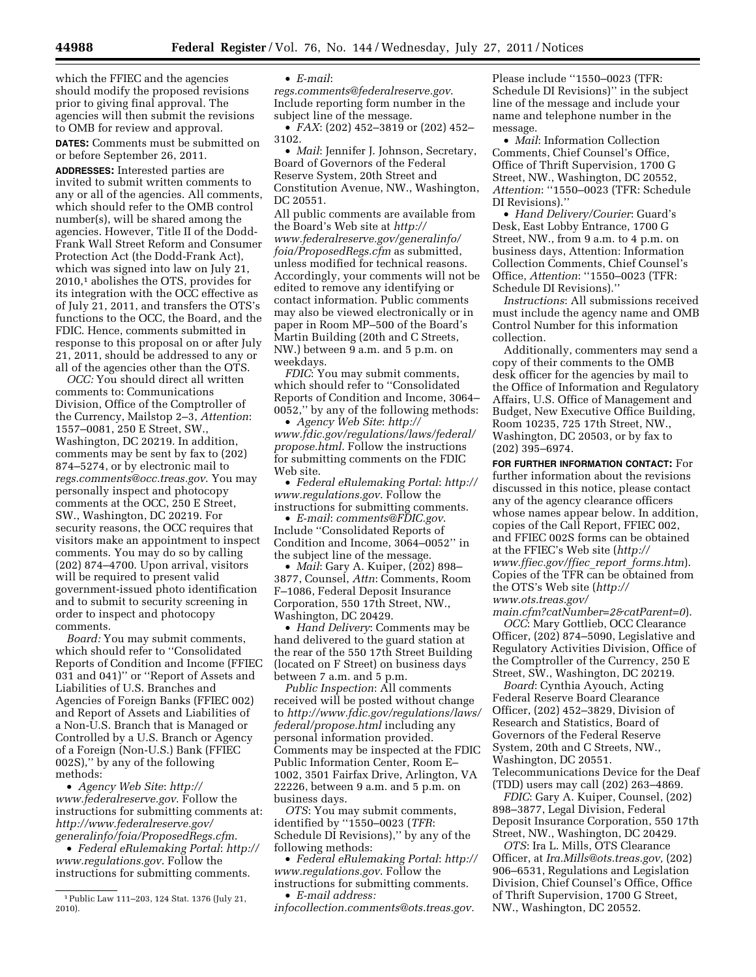which the FFIEC and the agencies should modify the proposed revisions prior to giving final approval. The agencies will then submit the revisions to OMB for review and approval.

**DATES:** Comments must be submitted on or before September 26, 2011.

**ADDRESSES:** Interested parties are invited to submit written comments to any or all of the agencies. All comments, which should refer to the OMB control number(s), will be shared among the agencies. However, Title II of the Dodd-Frank Wall Street Reform and Consumer Protection Act (the Dodd-Frank Act), which was signed into law on July 21, 2010,1 abolishes the OTS, provides for its integration with the OCC effective as of July 21, 2011, and transfers the OTS's functions to the OCC, the Board, and the FDIC. Hence, comments submitted in response to this proposal on or after July 21, 2011, should be addressed to any or all of the agencies other than the OTS.

*OCC:* You should direct all written comments to: Communications Division, Office of the Comptroller of the Currency, Mailstop 2–3, *Attention*: 1557–0081, 250 E Street, SW., Washington, DC 20219. In addition, comments may be sent by fax to (202) 874–5274, or by electronic mail to *[regs.comments@occ.treas.gov](mailto:regs.comments@occ.treas.gov)*. You may personally inspect and photocopy comments at the OCC, 250 E Street, SW., Washington, DC 20219. For security reasons, the OCC requires that visitors make an appointment to inspect comments. You may do so by calling (202) 874–4700. Upon arrival, visitors will be required to present valid government-issued photo identification and to submit to security screening in order to inspect and photocopy comments.

*Board:* You may submit comments, which should refer to ''Consolidated Reports of Condition and Income (FFIEC 031 and 041)'' or ''Report of Assets and Liabilities of U.S. Branches and Agencies of Foreign Banks (FFIEC 002) and Report of Assets and Liabilities of a Non-U.S. Branch that is Managed or Controlled by a U.S. Branch or Agency of a Foreign (Non-U.S.) Bank (FFIEC 002S),'' by any of the following methods:

• *Agency Web Site*: *[http://](http://www.federalreserve.gov)  [www.federalreserve.gov](http://www.federalreserve.gov)*. Follow the instructions for submitting comments at: *[http://www.federalreserve.gov/](http://www.federalreserve.gov/generalinfo/foia/ProposedRegs.cfm)  [generalinfo/foia/ProposedRegs.cfm](http://www.federalreserve.gov/generalinfo/foia/ProposedRegs.cfm)*.

• *Federal eRulemaking Portal*: *[http://](http://www.regulations.gov)  [www.regulations.gov](http://www.regulations.gov)*. Follow the instructions for submitting comments.

• *E-mail*:

*[regs.comments@federalreserve.gov](mailto:regs.comments@federalreserve.gov)*. Include reporting form number in the subject line of the message.

• *FAX*: (202) 452–3819 or (202) 452– 3102.

• *Mail*: Jennifer J. Johnson, Secretary, Board of Governors of the Federal Reserve System, 20th Street and Constitution Avenue, NW., Washington, DC 20551.

All public comments are available from the Board's Web site at *[http://](http://www.federalreserve.gov/generalinfo/foia/ProposedRegs.cfm) [www.federalreserve.gov/generalinfo/](http://www.federalreserve.gov/generalinfo/foia/ProposedRegs.cfm) [foia/ProposedRegs.cfm](http://www.federalreserve.gov/generalinfo/foia/ProposedRegs.cfm)* as submitted, unless modified for technical reasons. Accordingly, your comments will not be edited to remove any identifying or contact information. Public comments may also be viewed electronically or in paper in Room MP–500 of the Board's Martin Building (20th and C Streets, NW.) between 9 a.m. and 5 p.m. on weekdays.

*FDIC*: You may submit comments, which should refer to ''Consolidated Reports of Condition and Income, 3064– 0052,'' by any of the following methods:

• *Agency Web Site*: *[http://](http://www.fdic.gov/regulations/laws/federal/propose.html)  [www.fdic.gov/regulations/laws/federal/](http://www.fdic.gov/regulations/laws/federal/propose.html) [propose.html](http://www.fdic.gov/regulations/laws/federal/propose.html)*. Follow the instructions for submitting comments on the FDIC Web site.

• *Federal eRulemaking Portal*: *[http://](http://www.regulations.gov)  [www.regulations.gov](http://www.regulations.gov)*. Follow the instructions for submitting comments.

• *E-mail*: *[comments@FDIC.gov](mailto:comments@FDIC.gov)*. Include ''Consolidated Reports of Condition and Income, 3064–0052'' in the subject line of the message.

• *Mail*: Gary A. Kuiper, (202) 898– 3877, Counsel, *Attn*: Comments, Room F–1086, Federal Deposit Insurance Corporation, 550 17th Street, NW., Washington, DC 20429.

• *Hand Delivery*: Comments may be hand delivered to the guard station at the rear of the 550 17th Street Building (located on F Street) on business days between 7 a.m. and 5 p.m.

*Public Inspection*: All comments received will be posted without change to *[http://www.fdic.gov/regulations/laws/](http://www.fdic.gov/regulations/laws/federal/propose.html)  [federal/propose.html](http://www.fdic.gov/regulations/laws/federal/propose.html)* including any personal information provided. Comments may be inspected at the FDIC Public Information Center, Room E– 1002, 3501 Fairfax Drive, Arlington, VA 22226, between 9 a.m. and 5 p.m. on business days.

*OTS*: You may submit comments, identified by ''1550–0023 (*TFR*: Schedule DI Revisions),'' by any of the following methods:

• *Federal eRulemaking Portal*: *[http://](http://www.regulations.gov)  [www.regulations.gov](http://www.regulations.gov)*. Follow the instructions for submitting comments. • *E-mail address:* 

*[infocollection.comments@ots.treas.gov.](mailto:infocollection.comments@ots.treas.gov)* 

Please include ''1550–0023 (TFR: Schedule DI Revisions)'' in the subject line of the message and include your name and telephone number in the message.

• *Mail*: Information Collection Comments, Chief Counsel's Office, Office of Thrift Supervision, 1700 G Street, NW., Washington, DC 20552, *Attention*: ''1550–0023 (TFR: Schedule DI Revisions).''

• *Hand Delivery/Courier*: Guard's Desk, East Lobby Entrance, 1700 G Street, NW., from 9 a.m. to 4 p.m. on business days, Attention: Information Collection Comments, Chief Counsel's Office, *Attention*: ''1550–0023 (TFR: Schedule DI Revisions).''

*Instructions*: All submissions received must include the agency name and OMB Control Number for this information collection.

Additionally, commenters may send a copy of their comments to the OMB desk officer for the agencies by mail to the Office of Information and Regulatory Affairs, U.S. Office of Management and Budget, New Executive Office Building, Room 10235, 725 17th Street, NW., Washington, DC 20503, or by fax to (202) 395–6974.

**FOR FURTHER INFORMATION CONTACT:** For further information about the revisions discussed in this notice, please contact any of the agency clearance officers whose names appear below. In addition, copies of the Call Report, FFIEC 002, and FFIEC 002S forms can be obtained at the FFIEC's Web site (*[http://](http://www.ffiec.gov/ffiec_report_forms.htm) [www.ffiec.gov/ffiec](http://www.ffiec.gov/ffiec_report_forms.htm)*\_*report*\_*forms.htm*). Copies of the TFR can be obtained from the OTS's Web site (*[http://](http://www.ots.treas.gov/main.cfm?catNumber=2&catParent=0) [www.ots.treas.gov/](http://www.ots.treas.gov/main.cfm?catNumber=2&catParent=0)* 

*[main.cfm?catNumber=2&catParent=0](http://www.ots.treas.gov/main.cfm?catNumber=2&catParent=0)*). *OCC*: Mary Gottlieb, OCC Clearance Officer, (202) 874–5090, Legislative and Regulatory Activities Division, Office of the Comptroller of the Currency, 250 E Street, SW., Washington, DC 20219.

*Board*: Cynthia Ayouch, Acting Federal Reserve Board Clearance Officer, (202) 452–3829, Division of Research and Statistics, Board of Governors of the Federal Reserve System, 20th and C Streets, NW., Washington, DC 20551. Telecommunications Device for the Deaf (TDD) users may call (202) 263–4869.

*FDIC*: Gary A. Kuiper, Counsel, (202) 898–3877, Legal Division, Federal Deposit Insurance Corporation, 550 17th Street, NW., Washington, DC 20429.

*OTS*: Ira L. Mills, OTS Clearance Officer, at *[Ira.Mills@ots.treas.gov,](mailto:Ira.Mills@ots.treas.gov)* (202) 906–6531, Regulations and Legislation Division, Chief Counsel's Office, Office of Thrift Supervision, 1700 G Street, NW., Washington, DC 20552.

<sup>1</sup>Public Law 111–203, 124 Stat. 1376 (July 21, 2010).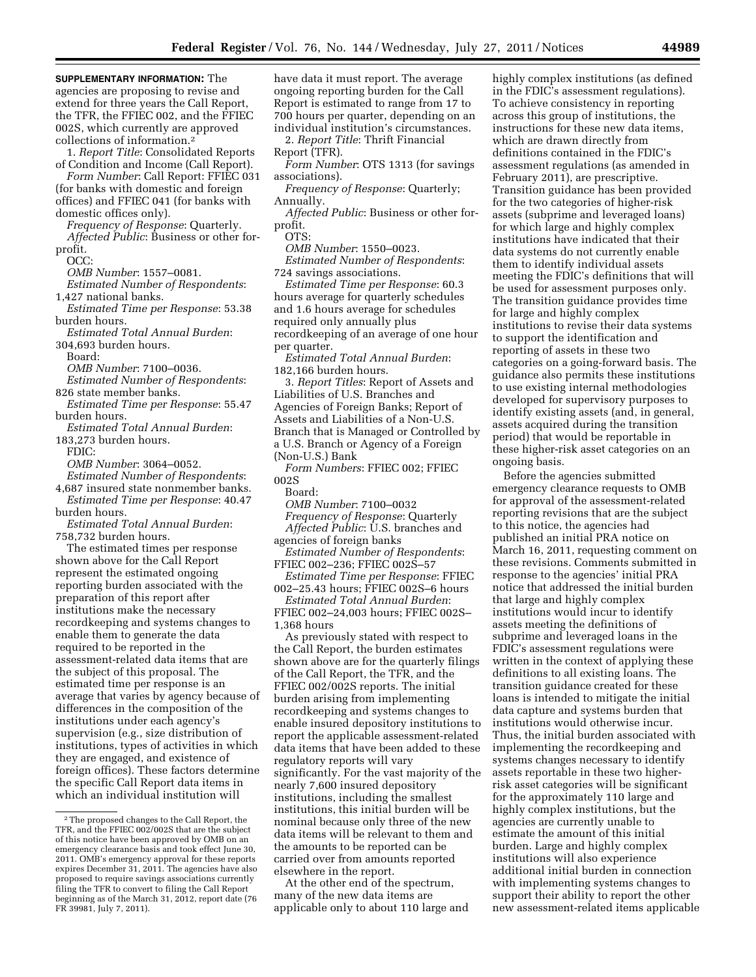**SUPPLEMENTARY INFORMATION:** The agencies are proposing to revise and extend for three years the Call Report, the TFR, the FFIEC 002, and the FFIEC 002S, which currently are approved collections of information.2

1. *Report Title*: Consolidated Reports of Condition and Income (Call Report).

*Form Number*: Call Report: FFIEC 031 (for banks with domestic and foreign offices) and FFIEC 041 (for banks with domestic offices only).

*Frequency of Response*: Quarterly. *Affected Public*: Business or other forprofit.

OCC:

*OMB Number*: 1557–0081.

- *Estimated Number of Respondents*: 1,427 national banks.
- *Estimated Time per Response*: 53.38 burden hours.

*Estimated Total Annual Burden*: 304,693 burden hours.

Board:

*OMB Number*: 7100–0036.

*Estimated Number of Respondents*: 826 state member banks.

*Estimated Time per Response*: 55.47 burden hours.

*Estimated Total Annual Burden*: 183,273 burden hours.

FDIC:

*OMB Number*: 3064–0052.

*Estimated Number of Respondents*:

4,687 insured state nonmember banks. *Estimated Time per Response*: 40.47 burden hours.

*Estimated Total Annual Burden*:

758,732 burden hours. The estimated times per response shown above for the Call Report

represent the estimated ongoing reporting burden associated with the preparation of this report after institutions make the necessary recordkeeping and systems changes to enable them to generate the data required to be reported in the assessment-related data items that are the subject of this proposal. The estimated time per response is an average that varies by agency because of differences in the composition of the institutions under each agency's supervision (e.g., size distribution of institutions, types of activities in which they are engaged, and existence of foreign offices). These factors determine the specific Call Report data items in which an individual institution will

have data it must report. The average ongoing reporting burden for the Call Report is estimated to range from 17 to 700 hours per quarter, depending on an individual institution's circumstances.

2. *Report Title*: Thrift Financial Report (TFR).

*Form Number*: OTS 1313 (for savings associations).

*Frequency of Response*: Quarterly; Annually.

*Affected Public*: Business or other forprofit.

OTS:

*OMB Number*: 1550–0023. *Estimated Number of Respondents*: 724 savings associations.

*Estimated Time per Response*: 60.3 hours average for quarterly schedules and 1.6 hours average for schedules required only annually plus recordkeeping of an average of one hour per quarter.

*Estimated Total Annual Burden*: 182,166 burden hours.

3. *Report Titles*: Report of Assets and Liabilities of U.S. Branches and Agencies of Foreign Banks; Report of Assets and Liabilities of a Non-U.S. Branch that is Managed or Controlled by a U.S. Branch or Agency of a Foreign (Non-U.S.) Bank

*Form Numbers*: FFIEC 002; FFIEC 002S

Board:

*OMB Number*: 7100–0032 *Frequency of Response*: Quarterly *Affected Public*: U.S. branches and agencies of foreign banks

*Estimated Number of Respondents*: FFIEC 002–236; FFIEC 002S–57

*Estimated Time per Response*: FFIEC 002–25.43 hours; FFIEC 002S–6 hours

*Estimated Total Annual Burden*: FFIEC 002–24,003 hours; FFIEC 002S– 1,368 hours

As previously stated with respect to the Call Report, the burden estimates shown above are for the quarterly filings of the Call Report, the TFR, and the FFIEC 002/002S reports. The initial burden arising from implementing recordkeeping and systems changes to enable insured depository institutions to report the applicable assessment-related data items that have been added to these regulatory reports will vary significantly. For the vast majority of the nearly 7,600 insured depository institutions, including the smallest institutions, this initial burden will be nominal because only three of the new data items will be relevant to them and the amounts to be reported can be carried over from amounts reported elsewhere in the report.

At the other end of the spectrum, many of the new data items are applicable only to about 110 large and highly complex institutions (as defined in the FDIC's assessment regulations). To achieve consistency in reporting across this group of institutions, the instructions for these new data items, which are drawn directly from definitions contained in the FDIC's assessment regulations (as amended in February 2011), are prescriptive. Transition guidance has been provided for the two categories of higher-risk assets (subprime and leveraged loans) for which large and highly complex institutions have indicated that their data systems do not currently enable them to identify individual assets meeting the FDIC's definitions that will be used for assessment purposes only. The transition guidance provides time for large and highly complex institutions to revise their data systems to support the identification and reporting of assets in these two categories on a going-forward basis. The guidance also permits these institutions to use existing internal methodologies developed for supervisory purposes to identify existing assets (and, in general, assets acquired during the transition period) that would be reportable in these higher-risk asset categories on an ongoing basis.

Before the agencies submitted emergency clearance requests to OMB for approval of the assessment-related reporting revisions that are the subject to this notice, the agencies had published an initial PRA notice on March 16, 2011, requesting comment on these revisions. Comments submitted in response to the agencies' initial PRA notice that addressed the initial burden that large and highly complex institutions would incur to identify assets meeting the definitions of subprime and leveraged loans in the FDIC's assessment regulations were written in the context of applying these definitions to all existing loans. The transition guidance created for these loans is intended to mitigate the initial data capture and systems burden that institutions would otherwise incur. Thus, the initial burden associated with implementing the recordkeeping and systems changes necessary to identify assets reportable in these two higherrisk asset categories will be significant for the approximately 110 large and highly complex institutions, but the agencies are currently unable to estimate the amount of this initial burden. Large and highly complex institutions will also experience additional initial burden in connection with implementing systems changes to support their ability to report the other new assessment-related items applicable

<sup>2</sup>The proposed changes to the Call Report, the TFR, and the FFIEC 002/002S that are the subject of this notice have been approved by OMB on an emergency clearance basis and took effect June 30, 2011. OMB's emergency approval for these reports expires December 31, 2011. The agencies have also proposed to require savings associations currently filing the TFR to convert to filing the Call Report beginning as of the March 31, 2012, report date (76 FR 39981, July 7, 2011).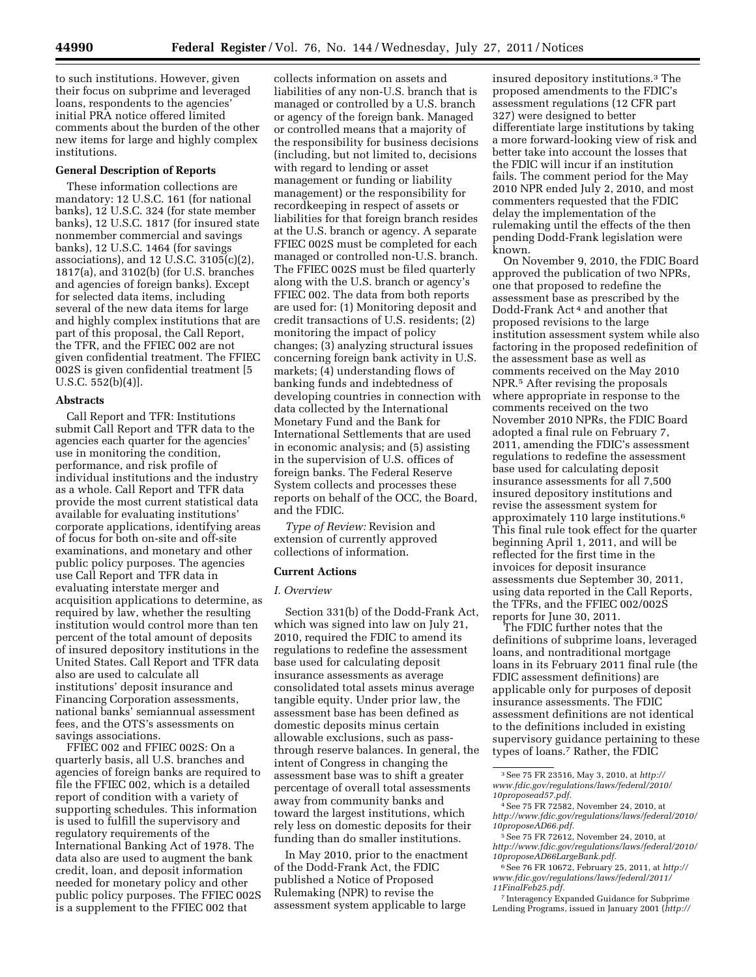to such institutions. However, given their focus on subprime and leveraged loans, respondents to the agencies' initial PRA notice offered limited comments about the burden of the other new items for large and highly complex institutions.

#### **General Description of Reports**

These information collections are mandatory: 12 U.S.C. 161 (for national banks), 12 U.S.C. 324 (for state member banks), 12 U.S.C. 1817 (for insured state nonmember commercial and savings banks), 12 U.S.C. 1464 (for savings associations), and 12 U.S.C. 3105(c)(2), 1817(a), and 3102(b) (for U.S. branches and agencies of foreign banks). Except for selected data items, including several of the new data items for large and highly complex institutions that are part of this proposal, the Call Report, the TFR, and the FFIEC 002 are not given confidential treatment. The FFIEC 002S is given confidential treatment [5 U.S.C. 552(b)(4)].

#### **Abstracts**

Call Report and TFR: Institutions submit Call Report and TFR data to the agencies each quarter for the agencies' use in monitoring the condition, performance, and risk profile of individual institutions and the industry as a whole. Call Report and TFR data provide the most current statistical data available for evaluating institutions' corporate applications, identifying areas of focus for both on-site and off-site examinations, and monetary and other public policy purposes. The agencies use Call Report and TFR data in evaluating interstate merger and acquisition applications to determine, as required by law, whether the resulting institution would control more than ten percent of the total amount of deposits of insured depository institutions in the United States. Call Report and TFR data also are used to calculate all institutions' deposit insurance and Financing Corporation assessments, national banks' semiannual assessment fees, and the OTS's assessments on savings associations.

FFIEC 002 and FFIEC 002S: On a quarterly basis, all U.S. branches and agencies of foreign banks are required to file the FFIEC 002, which is a detailed report of condition with a variety of supporting schedules. This information is used to fulfill the supervisory and regulatory requirements of the International Banking Act of 1978. The data also are used to augment the bank credit, loan, and deposit information needed for monetary policy and other public policy purposes. The FFIEC 002S is a supplement to the FFIEC 002 that

collects information on assets and liabilities of any non-U.S. branch that is managed or controlled by a U.S. branch or agency of the foreign bank. Managed or controlled means that a majority of the responsibility for business decisions (including, but not limited to, decisions with regard to lending or asset management or funding or liability management) or the responsibility for recordkeeping in respect of assets or liabilities for that foreign branch resides at the U.S. branch or agency. A separate FFIEC 002S must be completed for each managed or controlled non-U.S. branch. The FFIEC 002S must be filed quarterly along with the U.S. branch or agency's FFIEC 002. The data from both reports are used for: (1) Monitoring deposit and credit transactions of U.S. residents; (2) monitoring the impact of policy changes; (3) analyzing structural issues concerning foreign bank activity in U.S. markets; (4) understanding flows of banking funds and indebtedness of developing countries in connection with data collected by the International Monetary Fund and the Bank for International Settlements that are used in economic analysis; and (5) assisting in the supervision of U.S. offices of foreign banks. The Federal Reserve System collects and processes these reports on behalf of the OCC, the Board, and the FDIC.

*Type of Review:* Revision and extension of currently approved collections of information.

#### **Current Actions**

#### *I. Overview*

Section 331(b) of the Dodd-Frank Act, which was signed into law on July 21, 2010, required the FDIC to amend its regulations to redefine the assessment base used for calculating deposit insurance assessments as average consolidated total assets minus average tangible equity. Under prior law, the assessment base has been defined as domestic deposits minus certain allowable exclusions, such as passthrough reserve balances. In general, the intent of Congress in changing the assessment base was to shift a greater percentage of overall total assessments away from community banks and toward the largest institutions, which rely less on domestic deposits for their funding than do smaller institutions.

In May 2010, prior to the enactment of the Dodd-Frank Act, the FDIC published a Notice of Proposed Rulemaking (NPR) to revise the assessment system applicable to large

insured depository institutions.3 The proposed amendments to the FDIC's assessment regulations (12 CFR part 327) were designed to better differentiate large institutions by taking a more forward-looking view of risk and better take into account the losses that the FDIC will incur if an institution fails. The comment period for the May 2010 NPR ended July 2, 2010, and most commenters requested that the FDIC delay the implementation of the rulemaking until the effects of the then pending Dodd-Frank legislation were known.

On November 9, 2010, the FDIC Board approved the publication of two NPRs, one that proposed to redefine the assessment base as prescribed by the Dodd-Frank Act 4 and another that proposed revisions to the large institution assessment system while also factoring in the proposed redefinition of the assessment base as well as comments received on the May 2010 NPR.5 After revising the proposals where appropriate in response to the comments received on the two November 2010 NPRs, the FDIC Board adopted a final rule on February 7, 2011, amending the FDIC's assessment regulations to redefine the assessment base used for calculating deposit insurance assessments for all 7,500 insured depository institutions and revise the assessment system for approximately 110 large institutions.6 This final rule took effect for the quarter beginning April 1, 2011, and will be reflected for the first time in the invoices for deposit insurance assessments due September 30, 2011, using data reported in the Call Reports, the TFRs, and the FFIEC 002/002S reports for June 30, 2011.

The FDIC further notes that the definitions of subprime loans, leveraged loans, and nontraditional mortgage loans in its February 2011 final rule (the FDIC assessment definitions) are applicable only for purposes of deposit insurance assessments. The FDIC assessment definitions are not identical to the definitions included in existing supervisory guidance pertaining to these types of loans.7 Rather, the FDIC

- 5See 75 FR 72612, November 24, 2010, at *[http://www.fdic.gov/regulations/laws/federal/2010/](http://www.fdic.gov/regulations/laws/federal/2010/10proposeAD66LargeBank.pdf)  [10proposeAD66LargeBank.pdf.](http://www.fdic.gov/regulations/laws/federal/2010/10proposeAD66LargeBank.pdf)*
- 6See 76 FR 10672, February 25, 2011, at *[http://](http://www.fdic.gov/regulations/laws/federal/2011/11FinalFeb25.pdf) [www.fdic.gov/regulations/laws/federal/2011/](http://www.fdic.gov/regulations/laws/federal/2011/11FinalFeb25.pdf) [11FinalFeb25.pdf.](http://www.fdic.gov/regulations/laws/federal/2011/11FinalFeb25.pdf)*

7 Interagency Expanded Guidance for Subprime Lending Programs, issued in January 2001 (*[http://](http://www.fdic.gov/news/news/press/2001/pr0901a.htm)* 

<sup>3</sup>See 75 FR 23516, May 3, 2010, at *[http://](http://www.fdic.gov/regulations/laws/federal/2010/10proposead57.pdf)  [www.fdic.gov/regulations/laws/federal/2010/](http://www.fdic.gov/regulations/laws/federal/2010/10proposead57.pdf) [10proposead57.pdf.](http://www.fdic.gov/regulations/laws/federal/2010/10proposead57.pdf)* 

<sup>4</sup>See 75 FR 72582, November 24, 2010, at *[http://www.fdic.gov/regulations/laws/federal/2010/](http://www.fdic.gov/regulations/laws/federal/2010/10proposeAD66.pdf)  [10proposeAD66.pdf.](http://www.fdic.gov/regulations/laws/federal/2010/10proposeAD66.pdf)*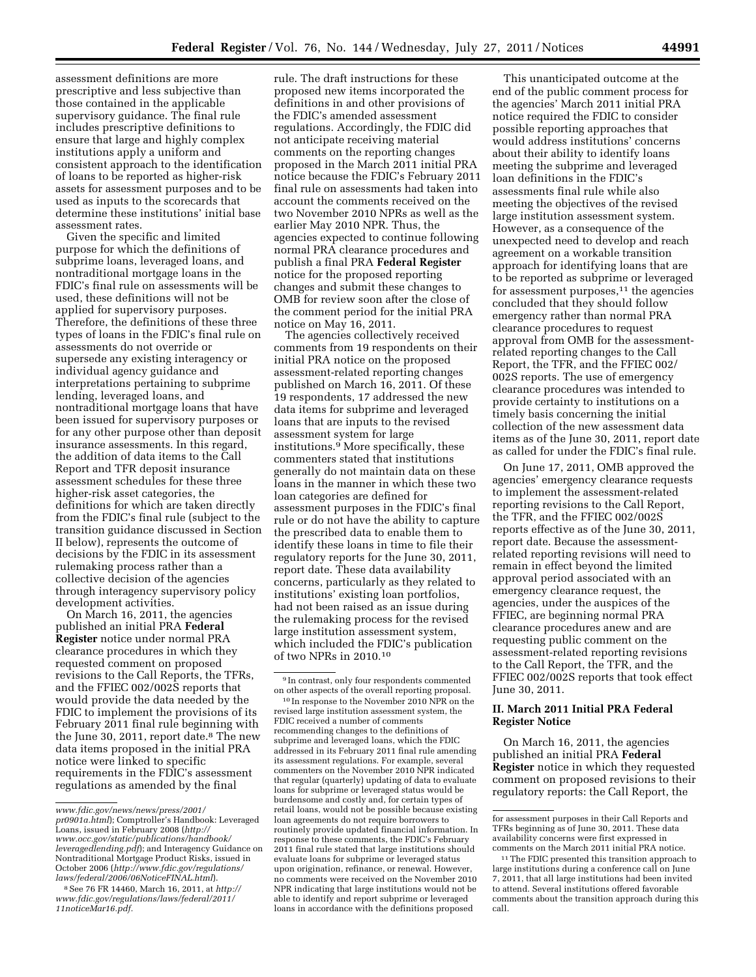assessment definitions are more prescriptive and less subjective than those contained in the applicable supervisory guidance. The final rule includes prescriptive definitions to ensure that large and highly complex institutions apply a uniform and consistent approach to the identification of loans to be reported as higher-risk assets for assessment purposes and to be used as inputs to the scorecards that determine these institutions' initial base assessment rates.

Given the specific and limited purpose for which the definitions of subprime loans, leveraged loans, and nontraditional mortgage loans in the FDIC's final rule on assessments will be used, these definitions will not be applied for supervisory purposes. Therefore, the definitions of these three types of loans in the FDIC's final rule on assessments do not override or supersede any existing interagency or individual agency guidance and interpretations pertaining to subprime lending, leveraged loans, and nontraditional mortgage loans that have been issued for supervisory purposes or for any other purpose other than deposit insurance assessments. In this regard, the addition of data items to the Call Report and TFR deposit insurance assessment schedules for these three higher-risk asset categories, the definitions for which are taken directly from the FDIC's final rule (subject to the transition guidance discussed in Section II below), represents the outcome of decisions by the FDIC in its assessment rulemaking process rather than a collective decision of the agencies through interagency supervisory policy development activities.

On March 16, 2011, the agencies published an initial PRA **Federal Register** notice under normal PRA clearance procedures in which they requested comment on proposed revisions to the Call Reports, the TFRs, and the FFIEC 002/002S reports that would provide the data needed by the FDIC to implement the provisions of its February 2011 final rule beginning with the June 30, 2011, report date.<sup>8</sup> The new data items proposed in the initial PRA notice were linked to specific requirements in the FDIC's assessment regulations as amended by the final

rule. The draft instructions for these proposed new items incorporated the definitions in and other provisions of the FDIC's amended assessment regulations. Accordingly, the FDIC did not anticipate receiving material comments on the reporting changes proposed in the March 2011 initial PRA notice because the FDIC's February 2011 final rule on assessments had taken into account the comments received on the two November 2010 NPRs as well as the earlier May 2010 NPR. Thus, the agencies expected to continue following normal PRA clearance procedures and publish a final PRA **Federal Register**  notice for the proposed reporting changes and submit these changes to OMB for review soon after the close of the comment period for the initial PRA notice on May 16, 2011.

The agencies collectively received comments from 19 respondents on their initial PRA notice on the proposed assessment-related reporting changes published on March 16, 2011. Of these 19 respondents, 17 addressed the new data items for subprime and leveraged loans that are inputs to the revised assessment system for large institutions.9 More specifically, these commenters stated that institutions generally do not maintain data on these loans in the manner in which these two loan categories are defined for assessment purposes in the FDIC's final rule or do not have the ability to capture the prescribed data to enable them to identify these loans in time to file their regulatory reports for the June 30, 2011, report date. These data availability concerns, particularly as they related to institutions' existing loan portfolios, had not been raised as an issue during the rulemaking process for the revised large institution assessment system, which included the FDIC's publication of two NPRs in 2010.10

10 In response to the November 2010 NPR on the revised large institution assessment system, the FDIC received a number of comments recommending changes to the definitions of subprime and leveraged loans, which the FDIC addressed in its February 2011 final rule amending its assessment regulations. For example, several commenters on the November 2010 NPR indicated that regular (quarterly) updating of data to evaluate loans for subprime or leveraged status would be burdensome and costly and, for certain types of retail loans, would not be possible because existing loan agreements do not require borrowers to routinely provide updated financial information. In response to these comments, the FDIC's February 2011 final rule stated that large institutions should evaluate loans for subprime or leveraged status upon origination, refinance, or renewal. However, no comments were received on the November 2010 NPR indicating that large institutions would not be able to identify and report subprime or leveraged loans in accordance with the definitions proposed

This unanticipated outcome at the end of the public comment process for the agencies' March 2011 initial PRA notice required the FDIC to consider possible reporting approaches that would address institutions' concerns about their ability to identify loans meeting the subprime and leveraged loan definitions in the FDIC's assessments final rule while also meeting the objectives of the revised large institution assessment system. However, as a consequence of the unexpected need to develop and reach agreement on a workable transition approach for identifying loans that are to be reported as subprime or leveraged for assessment purposes, $11$  the agencies concluded that they should follow emergency rather than normal PRA clearance procedures to request approval from OMB for the assessmentrelated reporting changes to the Call Report, the TFR, and the FFIEC 002/ 002S reports. The use of emergency clearance procedures was intended to provide certainty to institutions on a timely basis concerning the initial collection of the new assessment data items as of the June 30, 2011, report date as called for under the FDIC's final rule.

On June 17, 2011, OMB approved the agencies' emergency clearance requests to implement the assessment-related reporting revisions to the Call Report, the TFR, and the FFIEC 002/002S reports effective as of the June 30, 2011, report date. Because the assessmentrelated reporting revisions will need to remain in effect beyond the limited approval period associated with an emergency clearance request, the agencies, under the auspices of the FFIEC, are beginning normal PRA clearance procedures anew and are requesting public comment on the assessment-related reporting revisions to the Call Report, the TFR, and the FFIEC 002/002S reports that took effect June 30, 2011.

## **II. March 2011 Initial PRA Federal Register Notice**

On March 16, 2011, the agencies published an initial PRA **Federal Register** notice in which they requested comment on proposed revisions to their regulatory reports: the Call Report, the

*[www.fdic.gov/news/news/press/2001/](http://www.fdic.gov/news/news/press/2001/pr0901a.html) [pr0901a.html](http://www.fdic.gov/news/news/press/2001/pr0901a.html)*); Comptroller's Handbook: Leveraged Loans, issued in February 2008 (*[http://](http://www.occ.gov/static/publications/handbook/leveragedlending.pdf) [www.occ.gov/static/publications/handbook/](http://www.occ.gov/static/publications/handbook/leveragedlending.pdf) [leveragedlending.pdf](http://www.occ.gov/static/publications/handbook/leveragedlending.pdf)*); and Interagency Guidance on Nontraditional Mortgage Product Risks, issued in October 2006 (*[http://www.fdic.gov/regulations/](http://www.fdic.gov/regulations/laws/federal/2006/06NoticeFINAL.html) [laws/federal/2006/06NoticeFINAL.html](http://www.fdic.gov/regulations/laws/federal/2006/06NoticeFINAL.html)*).

<sup>8</sup>See 76 FR 14460, March 16, 2011, at *[http://](http://www.fdic.gov/regulations/laws/federal/2011/11noticeMar16.pdf) [www.fdic.gov/regulations/laws/federal/2011/](http://www.fdic.gov/regulations/laws/federal/2011/11noticeMar16.pdf) [11noticeMar16.pdf.](http://www.fdic.gov/regulations/laws/federal/2011/11noticeMar16.pdf)* 

<sup>9</sup> In contrast, only four respondents commented on other aspects of the overall reporting proposal.

for assessment purposes in their Call Reports and TFRs beginning as of June 30, 2011. These data availability concerns were first expressed in comments on the March 2011 initial PRA notice.

<sup>&</sup>lt;sup>11</sup>The FDIC presented this transition approach to large institutions during a conference call on June 7, 2011, that all large institutions had been invited to attend. Several institutions offered favorable comments about the transition approach during this call.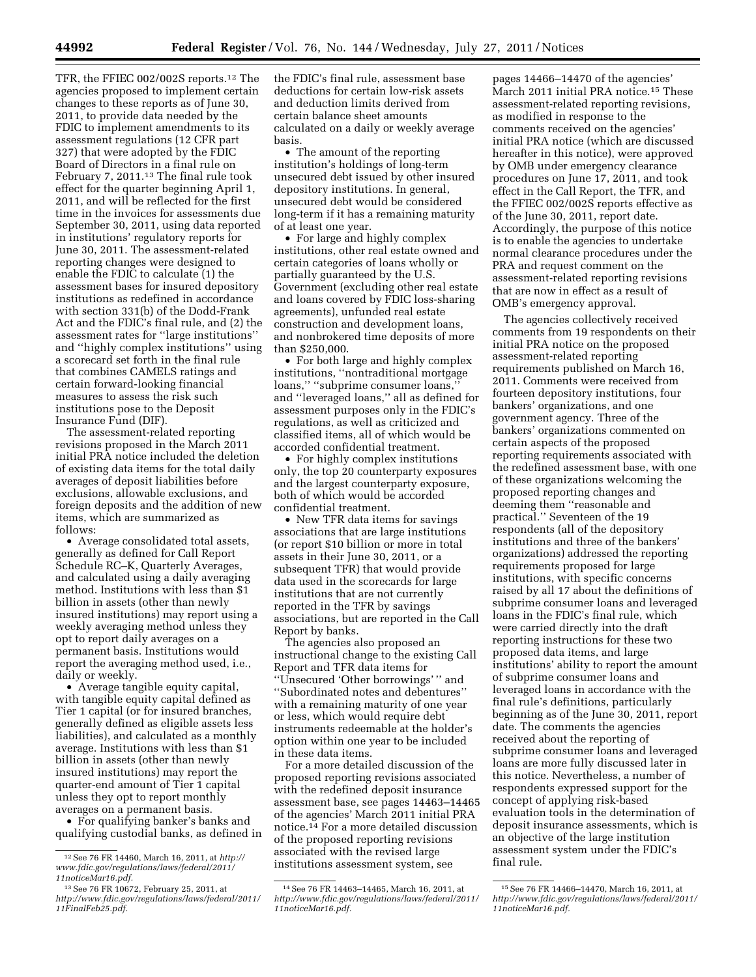TFR, the FFIEC 002/002S reports.12 The agencies proposed to implement certain changes to these reports as of June 30, 2011, to provide data needed by the FDIC to implement amendments to its assessment regulations (12 CFR part 327) that were adopted by the FDIC Board of Directors in a final rule on February 7, 2011.13 The final rule took effect for the quarter beginning April 1, 2011, and will be reflected for the first time in the invoices for assessments due September 30, 2011, using data reported in institutions' regulatory reports for June 30, 2011. The assessment-related reporting changes were designed to enable the FDIC to calculate (1) the assessment bases for insured depository institutions as redefined in accordance with section 331(b) of the Dodd-Frank Act and the FDIC's final rule, and (2) the assessment rates for ''large institutions'' and ''highly complex institutions'' using a scorecard set forth in the final rule that combines CAMELS ratings and certain forward-looking financial measures to assess the risk such institutions pose to the Deposit Insurance Fund (DIF).

The assessment-related reporting revisions proposed in the March 2011 initial PRA notice included the deletion of existing data items for the total daily averages of deposit liabilities before exclusions, allowable exclusions, and foreign deposits and the addition of new items, which are summarized as follows:

• Average consolidated total assets, generally as defined for Call Report Schedule RC–K, Quarterly Averages, and calculated using a daily averaging method. Institutions with less than \$1 billion in assets (other than newly insured institutions) may report using a weekly averaging method unless they opt to report daily averages on a permanent basis. Institutions would report the averaging method used, i.e., daily or weekly.

• Average tangible equity capital, with tangible equity capital defined as Tier 1 capital (or for insured branches, generally defined as eligible assets less liabilities), and calculated as a monthly average. Institutions with less than \$1 billion in assets (other than newly insured institutions) may report the quarter-end amount of Tier 1 capital unless they opt to report monthly averages on a permanent basis.

• For qualifying banker's banks and qualifying custodial banks, as defined in the FDIC's final rule, assessment base deductions for certain low-risk assets and deduction limits derived from certain balance sheet amounts calculated on a daily or weekly average basis.

• The amount of the reporting institution's holdings of long-term unsecured debt issued by other insured depository institutions. In general, unsecured debt would be considered long-term if it has a remaining maturity of at least one year.

• For large and highly complex institutions, other real estate owned and certain categories of loans wholly or partially guaranteed by the U.S. Government (excluding other real estate and loans covered by FDIC loss-sharing agreements), unfunded real estate construction and development loans, and nonbrokered time deposits of more than \$250,000.

• For both large and highly complex institutions, ''nontraditional mortgage loans,'' ''subprime consumer loans,'' and ''leveraged loans,'' all as defined for assessment purposes only in the FDIC's regulations, as well as criticized and classified items, all of which would be accorded confidential treatment.

• For highly complex institutions only, the top 20 counterparty exposures and the largest counterparty exposure, both of which would be accorded confidential treatment.

• New TFR data items for savings associations that are large institutions (or report \$10 billion or more in total assets in their June 30, 2011, or a subsequent TFR) that would provide data used in the scorecards for large institutions that are not currently reported in the TFR by savings associations, but are reported in the Call Report by banks.

The agencies also proposed an instructional change to the existing Call Report and TFR data items for ''Unsecured 'Other borrowings' '' and ''Subordinated notes and debentures'' with a remaining maturity of one year or less, which would require debt instruments redeemable at the holder's option within one year to be included in these data items.

For a more detailed discussion of the proposed reporting revisions associated with the redefined deposit insurance assessment base, see pages 14463–14465 of the agencies' March 2011 initial PRA notice.14 For a more detailed discussion of the proposed reporting revisions associated with the revised large institutions assessment system, see

pages 14466–14470 of the agencies' March 2011 initial PRA notice.<sup>15</sup> These assessment-related reporting revisions, as modified in response to the comments received on the agencies' initial PRA notice (which are discussed hereafter in this notice), were approved by OMB under emergency clearance procedures on June 17, 2011, and took effect in the Call Report, the TFR, and the FFIEC 002/002S reports effective as of the June 30, 2011, report date. Accordingly, the purpose of this notice is to enable the agencies to undertake normal clearance procedures under the PRA and request comment on the assessment-related reporting revisions that are now in effect as a result of OMB's emergency approval.

The agencies collectively received comments from 19 respondents on their initial PRA notice on the proposed assessment-related reporting requirements published on March 16, 2011. Comments were received from fourteen depository institutions, four bankers' organizations, and one government agency. Three of the bankers' organizations commented on certain aspects of the proposed reporting requirements associated with the redefined assessment base, with one of these organizations welcoming the proposed reporting changes and deeming them ''reasonable and practical.'' Seventeen of the 19 respondents (all of the depository institutions and three of the bankers' organizations) addressed the reporting requirements proposed for large institutions, with specific concerns raised by all 17 about the definitions of subprime consumer loans and leveraged loans in the FDIC's final rule, which were carried directly into the draft reporting instructions for these two proposed data items, and large institutions' ability to report the amount of subprime consumer loans and leveraged loans in accordance with the final rule's definitions, particularly beginning as of the June 30, 2011, report date. The comments the agencies received about the reporting of subprime consumer loans and leveraged loans are more fully discussed later in this notice. Nevertheless, a number of respondents expressed support for the concept of applying risk-based evaluation tools in the determination of deposit insurance assessments, which is an objective of the large institution assessment system under the FDIC's final rule.

<sup>12</sup>See 76 FR 14460, March 16, 2011, at *[http://](http://www.fdic.gov/regulations/laws/federal/2011/11noticeMar16.pdf) [www.fdic.gov/regulations/laws/federal/2011/](http://www.fdic.gov/regulations/laws/federal/2011/11noticeMar16.pdf) [11noticeMar16.pdf.](http://www.fdic.gov/regulations/laws/federal/2011/11noticeMar16.pdf)* 

<sup>13</sup>See 76 FR 10672, February 25, 2011, at *[http://www.fdic.gov/regulations/laws/federal/2011/](http://www.fdic.gov/regulations/laws/federal/2011/11FinalFeb25.pdf)  [11FinalFeb25.pdf.](http://www.fdic.gov/regulations/laws/federal/2011/11FinalFeb25.pdf)* 

<sup>14</sup>See 76 FR 14463–14465, March 16, 2011, at *[http://www.fdic.gov/regulations/laws/federal/2011/](http://www.fdic.gov/regulations/laws/federal/2011/11noticeMar16.pdf)  [11noticeMar16.pdf.](http://www.fdic.gov/regulations/laws/federal/2011/11noticeMar16.pdf)* 

<sup>15</sup>See 76 FR 14466–14470, March 16, 2011, at *[http://www.fdic.gov/regulations/laws/federal/2011/](http://www.fdic.gov/regulations/laws/federal/2011/11noticeMar16.pdf)  [11noticeMar16.pdf.](http://www.fdic.gov/regulations/laws/federal/2011/11noticeMar16.pdf)*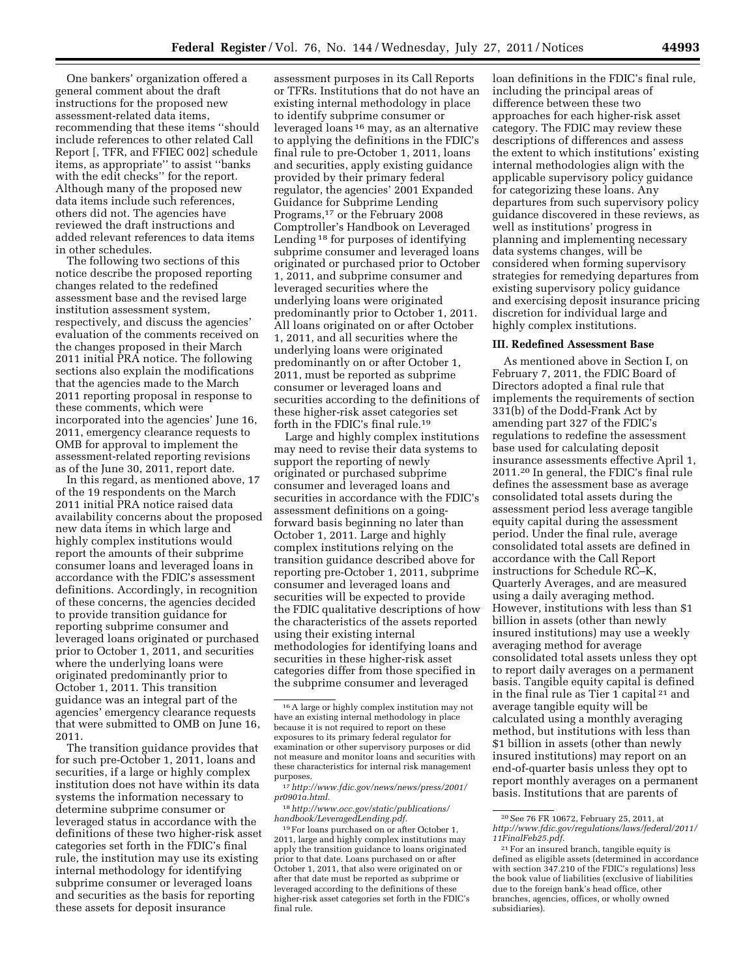One bankers' organization offered a general comment about the draft instructions for the proposed new assessment-related data items, recommending that these items ''should include references to other related Call Report [, TFR, and FFIEC 002] schedule items, as appropriate'' to assist ''banks with the edit checks'' for the report. Although many of the proposed new data items include such references, others did not. The agencies have reviewed the draft instructions and added relevant references to data items in other schedules.

The following two sections of this notice describe the proposed reporting changes related to the redefined assessment base and the revised large institution assessment system, respectively, and discuss the agencies' evaluation of the comments received on the changes proposed in their March 2011 initial PRA notice. The following sections also explain the modifications that the agencies made to the March 2011 reporting proposal in response to these comments, which were incorporated into the agencies' June 16, 2011, emergency clearance requests to OMB for approval to implement the assessment-related reporting revisions as of the June 30, 2011, report date.

In this regard, as mentioned above, 17 of the 19 respondents on the March 2011 initial PRA notice raised data availability concerns about the proposed new data items in which large and highly complex institutions would report the amounts of their subprime consumer loans and leveraged loans in accordance with the FDIC's assessment definitions. Accordingly, in recognition of these concerns, the agencies decided to provide transition guidance for reporting subprime consumer and leveraged loans originated or purchased prior to October 1, 2011, and securities where the underlying loans were originated predominantly prior to October 1, 2011. This transition guidance was an integral part of the agencies' emergency clearance requests that were submitted to OMB on June 16, 2011.

The transition guidance provides that for such pre-October 1, 2011, loans and securities, if a large or highly complex institution does not have within its data systems the information necessary to determine subprime consumer or leveraged status in accordance with the definitions of these two higher-risk asset categories set forth in the FDIC's final rule, the institution may use its existing internal methodology for identifying subprime consumer or leveraged loans and securities as the basis for reporting these assets for deposit insurance

assessment purposes in its Call Reports or TFRs. Institutions that do not have an existing internal methodology in place to identify subprime consumer or leveraged loans 16 may, as an alternative to applying the definitions in the FDIC's final rule to pre-October 1, 2011, loans and securities, apply existing guidance provided by their primary federal regulator, the agencies' 2001 Expanded Guidance for Subprime Lending Programs,17 or the February 2008 Comptroller's Handbook on Leveraged Lending 18 for purposes of identifying subprime consumer and leveraged loans originated or purchased prior to October 1, 2011, and subprime consumer and leveraged securities where the underlying loans were originated predominantly prior to October 1, 2011. All loans originated on or after October 1, 2011, and all securities where the underlying loans were originated predominantly on or after October 1, 2011, must be reported as subprime consumer or leveraged loans and securities according to the definitions of these higher-risk asset categories set forth in the FDIC's final rule.19

Large and highly complex institutions may need to revise their data systems to support the reporting of newly originated or purchased subprime consumer and leveraged loans and securities in accordance with the FDIC's assessment definitions on a goingforward basis beginning no later than October 1, 2011. Large and highly complex institutions relying on the transition guidance described above for reporting pre-October 1, 2011, subprime consumer and leveraged loans and securities will be expected to provide the FDIC qualitative descriptions of how the characteristics of the assets reported using their existing internal methodologies for identifying loans and securities in these higher-risk asset categories differ from those specified in the subprime consumer and leveraged

18*[http://www.occ.gov/static/publications/](http://www.occ.gov/static/publications/handbook/LeveragedLending.pdf) [handbook/LeveragedLending.pdf.](http://www.occ.gov/static/publications/handbook/LeveragedLending.pdf)* 

19For loans purchased on or after October 1, 2011, large and highly complex institutions may apply the transition guidance to loans originated prior to that date. Loans purchased on or after October 1, 2011, that also were originated on or after that date must be reported as subprime or leveraged according to the definitions of these higher-risk asset categories set forth in the FDIC's final rule.

loan definitions in the FDIC's final rule, including the principal areas of difference between these two approaches for each higher-risk asset category. The FDIC may review these descriptions of differences and assess the extent to which institutions' existing internal methodologies align with the applicable supervisory policy guidance for categorizing these loans. Any departures from such supervisory policy guidance discovered in these reviews, as well as institutions' progress in planning and implementing necessary data systems changes, will be considered when forming supervisory strategies for remedying departures from existing supervisory policy guidance and exercising deposit insurance pricing discretion for individual large and highly complex institutions.

#### **III. Redefined Assessment Base**

As mentioned above in Section I, on February 7, 2011, the FDIC Board of Directors adopted a final rule that implements the requirements of section 331(b) of the Dodd-Frank Act by amending part 327 of the FDIC's regulations to redefine the assessment base used for calculating deposit insurance assessments effective April 1, 2011.20 In general, the FDIC's final rule defines the assessment base as average consolidated total assets during the assessment period less average tangible equity capital during the assessment period. Under the final rule, average consolidated total assets are defined in accordance with the Call Report instructions for Schedule RC–K, Quarterly Averages, and are measured using a daily averaging method. However, institutions with less than \$1 billion in assets (other than newly insured institutions) may use a weekly averaging method for average consolidated total assets unless they opt to report daily averages on a permanent basis. Tangible equity capital is defined in the final rule as Tier 1 capital 21 and average tangible equity will be calculated using a monthly averaging method, but institutions with less than \$1 billion in assets (other than newly insured institutions) may report on an end-of-quarter basis unless they opt to report monthly averages on a permanent basis. Institutions that are parents of

<sup>16</sup>A large or highly complex institution may not have an existing internal methodology in place because it is not required to report on these exposures to its primary federal regulator for examination or other supervisory purposes or did not measure and monitor loans and securities with these characteristics for internal risk management purposes.

<sup>17</sup>*[http://www.fdic.gov/news/news/press/2001/](http://www.fdic.gov/news/news/press/2001/pr0901a.html) [pr0901a.html.](http://www.fdic.gov/news/news/press/2001/pr0901a.html)* 

<sup>20</sup>See 76 FR 10672, February 25, 2011, at *[http://www.fdic.gov/regulations/laws/federal/2011/](http://www.fdic.gov/regulations/laws/federal/2011/11FinalFeb25.pdf)  [11FinalFeb25.pdf](http://www.fdic.gov/regulations/laws/federal/2011/11FinalFeb25.pdf)*.

<sup>21</sup>For an insured branch, tangible equity is defined as eligible assets (determined in accordance with section 347.210 of the FDIC's regulations) less the book value of liabilities (exclusive of liabilities due to the foreign bank's head office, other branches, agencies, offices, or wholly owned subsidiaries).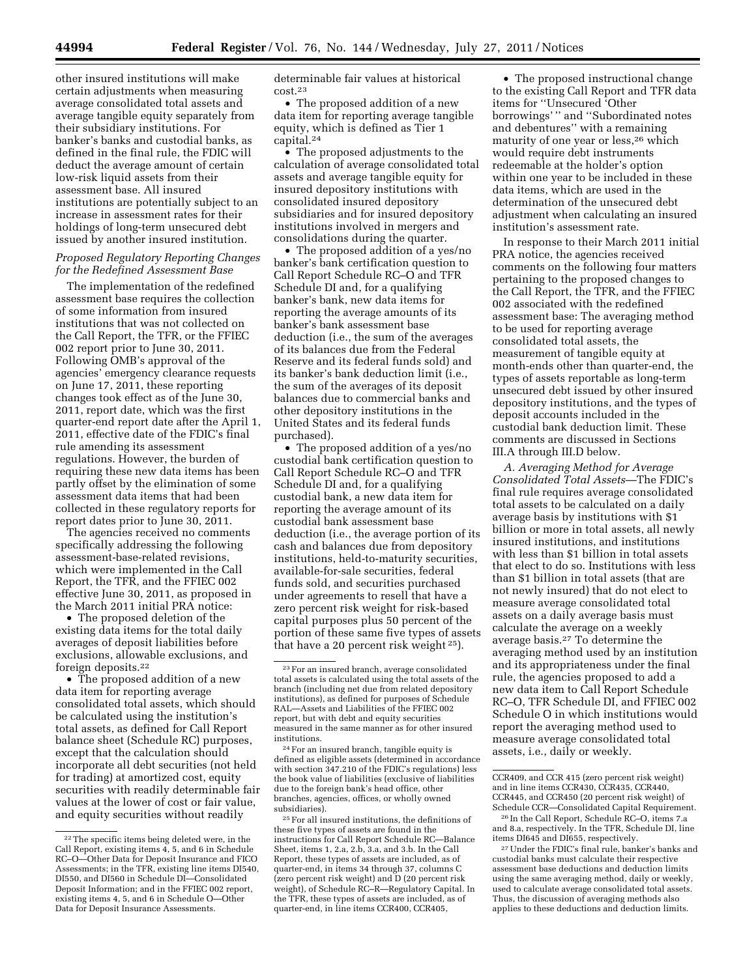other insured institutions will make certain adjustments when measuring average consolidated total assets and average tangible equity separately from their subsidiary institutions. For banker's banks and custodial banks, as defined in the final rule, the FDIC will deduct the average amount of certain low-risk liquid assets from their assessment base. All insured institutions are potentially subject to an increase in assessment rates for their holdings of long-term unsecured debt issued by another insured institution.

#### *Proposed Regulatory Reporting Changes for the Redefined Assessment Base*

The implementation of the redefined assessment base requires the collection of some information from insured institutions that was not collected on the Call Report, the TFR, or the FFIEC 002 report prior to June 30, 2011. Following OMB's approval of the agencies' emergency clearance requests on June 17, 2011, these reporting changes took effect as of the June 30, 2011, report date, which was the first quarter-end report date after the April 1, 2011, effective date of the FDIC's final rule amending its assessment regulations. However, the burden of requiring these new data items has been partly offset by the elimination of some assessment data items that had been collected in these regulatory reports for report dates prior to June 30, 2011.

The agencies received no comments specifically addressing the following assessment-base-related revisions, which were implemented in the Call Report, the TFR, and the FFIEC 002 effective June 30, 2011, as proposed in the March 2011 initial PRA notice:

• The proposed deletion of the existing data items for the total daily averages of deposit liabilities before exclusions, allowable exclusions, and foreign deposits.22

• The proposed addition of a new data item for reporting average consolidated total assets, which should be calculated using the institution's total assets, as defined for Call Report balance sheet (Schedule RC) purposes, except that the calculation should incorporate all debt securities (not held for trading) at amortized cost, equity securities with readily determinable fair values at the lower of cost or fair value, and equity securities without readily

determinable fair values at historical cost.23

• The proposed addition of a new data item for reporting average tangible equity, which is defined as Tier 1 capital.24

• The proposed adjustments to the calculation of average consolidated total assets and average tangible equity for insured depository institutions with consolidated insured depository subsidiaries and for insured depository institutions involved in mergers and consolidations during the quarter.

• The proposed addition of a yes/no banker's bank certification question to Call Report Schedule RC–O and TFR Schedule DI and, for a qualifying banker's bank, new data items for reporting the average amounts of its banker's bank assessment base deduction (i.e., the sum of the averages of its balances due from the Federal Reserve and its federal funds sold) and its banker's bank deduction limit (i.e., the sum of the averages of its deposit balances due to commercial banks and other depository institutions in the United States and its federal funds purchased).

• The proposed addition of a yes/no custodial bank certification question to Call Report Schedule RC–O and TFR Schedule DI and, for a qualifying custodial bank, a new data item for reporting the average amount of its custodial bank assessment base deduction (i.e., the average portion of its cash and balances due from depository institutions, held-to-maturity securities, available-for-sale securities, federal funds sold, and securities purchased under agreements to resell that have a zero percent risk weight for risk-based capital purposes plus 50 percent of the portion of these same five types of assets that have a 20 percent risk weight 25).

24For an insured branch, tangible equity is defined as eligible assets (determined in accordance with section 347.210 of the FDIC's regulations) less the book value of liabilities (exclusive of liabilities due to the foreign bank's head office, other branches, agencies, offices, or wholly owned subsidiaries).

25For all insured institutions, the definitions of these five types of assets are found in the instructions for Call Report Schedule RC—Balance Sheet, items 1, 2.a, 2.b, 3.a, and 3.b. In the Call Report, these types of assets are included, as of quarter-end, in items 34 through 37, columns C (zero percent risk weight) and D (20 percent risk weight), of Schedule RC–R—Regulatory Capital. In the TFR, these types of assets are included, as of quarter-end, in line items CCR400, CCR405,

• The proposed instructional change to the existing Call Report and TFR data items for ''Unsecured 'Other borrowings' '' and ''Subordinated notes and debentures'' with a remaining maturity of one year or less,26 which would require debt instruments redeemable at the holder's option within one year to be included in these data items, which are used in the determination of the unsecured debt adjustment when calculating an insured institution's assessment rate.

In response to their March 2011 initial PRA notice, the agencies received comments on the following four matters pertaining to the proposed changes to the Call Report, the TFR, and the FFIEC 002 associated with the redefined assessment base: The averaging method to be used for reporting average consolidated total assets, the measurement of tangible equity at month-ends other than quarter-end, the types of assets reportable as long-term unsecured debt issued by other insured depository institutions, and the types of deposit accounts included in the custodial bank deduction limit. These comments are discussed in Sections III.A through III.D below.

*A. Averaging Method for Average Consolidated Total Assets*—The FDIC's final rule requires average consolidated total assets to be calculated on a daily average basis by institutions with \$1 billion or more in total assets, all newly insured institutions, and institutions with less than \$1 billion in total assets that elect to do so. Institutions with less than \$1 billion in total assets (that are not newly insured) that do not elect to measure average consolidated total assets on a daily average basis must calculate the average on a weekly average basis.27 To determine the averaging method used by an institution and its appropriateness under the final rule, the agencies proposed to add a new data item to Call Report Schedule RC–O, TFR Schedule DI, and FFIEC 002 Schedule O in which institutions would report the averaging method used to measure average consolidated total assets, i.e., daily or weekly.

<sup>22</sup>The specific items being deleted were, in the Call Report, existing items 4, 5, and 6 in Schedule RC–O—Other Data for Deposit Insurance and FICO Assessments; in the TFR, existing line items DI540, DI550, and DI560 in Schedule DI—Consolidated Deposit Information; and in the FFIEC 002 report, existing items 4, 5, and 6 in Schedule O—Other Data for Deposit Insurance Assessments.

 $^{\rm 23}\,$  For an insured branch, average consolidated total assets is calculated using the total assets of the branch (including net due from related depository institutions), as defined for purposes of Schedule RAL—Assets and Liabilities of the FFIEC 002 report, but with debt and equity securities measured in the same manner as for other insured institutions.

CCR409, and CCR 415 (zero percent risk weight) and in line items CCR430, CCR435, CCR440, CCR445, and CCR450 (20 percent risk weight) of Schedule CCR—Consolidated Capital Requirement.

<sup>26</sup> In the Call Report, Schedule RC–O, items 7.a and 8.a, respectively. In the TFR, Schedule DI, line items DI645 and DI655, respectively.

<sup>27</sup>Under the FDIC's final rule, banker's banks and custodial banks must calculate their respective assessment base deductions and deduction limits using the same averaging method, daily or weekly, used to calculate average consolidated total assets. Thus, the discussion of averaging methods also applies to these deductions and deduction limits.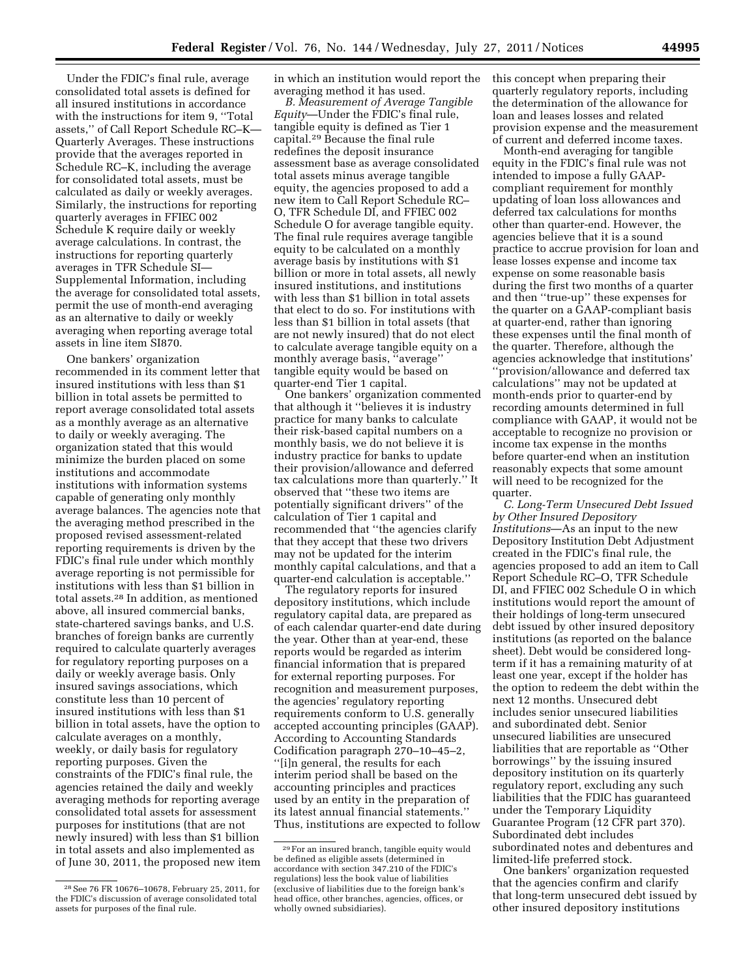Under the FDIC's final rule, average consolidated total assets is defined for all insured institutions in accordance with the instructions for item 9, ''Total assets,'' of Call Report Schedule RC–K— Quarterly Averages. These instructions provide that the averages reported in Schedule RC–K, including the average for consolidated total assets, must be calculated as daily or weekly averages. Similarly, the instructions for reporting quarterly averages in FFIEC 002 Schedule K require daily or weekly average calculations. In contrast, the instructions for reporting quarterly averages in TFR Schedule SI— Supplemental Information, including the average for consolidated total assets, permit the use of month-end averaging as an alternative to daily or weekly averaging when reporting average total assets in line item SI870.

One bankers' organization recommended in its comment letter that insured institutions with less than \$1 billion in total assets be permitted to report average consolidated total assets as a monthly average as an alternative to daily or weekly averaging. The organization stated that this would minimize the burden placed on some institutions and accommodate institutions with information systems capable of generating only monthly average balances. The agencies note that the averaging method prescribed in the proposed revised assessment-related reporting requirements is driven by the FDIC's final rule under which monthly average reporting is not permissible for institutions with less than \$1 billion in total assets.28 In addition, as mentioned above, all insured commercial banks, state-chartered savings banks, and U.S. branches of foreign banks are currently required to calculate quarterly averages for regulatory reporting purposes on a daily or weekly average basis. Only insured savings associations, which constitute less than 10 percent of insured institutions with less than \$1 billion in total assets, have the option to calculate averages on a monthly, weekly, or daily basis for regulatory reporting purposes. Given the constraints of the FDIC's final rule, the agencies retained the daily and weekly averaging methods for reporting average consolidated total assets for assessment purposes for institutions (that are not newly insured) with less than \$1 billion in total assets and also implemented as of June 30, 2011, the proposed new item in which an institution would report the averaging method it has used.

*B. Measurement of Average Tangible Equity*—Under the FDIC's final rule, tangible equity is defined as Tier 1 capital.29 Because the final rule redefines the deposit insurance assessment base as average consolidated total assets minus average tangible equity, the agencies proposed to add a new item to Call Report Schedule RC– O, TFR Schedule DI, and FFIEC 002 Schedule O for average tangible equity. The final rule requires average tangible equity to be calculated on a monthly average basis by institutions with \$1 billion or more in total assets, all newly insured institutions, and institutions with less than \$1 billion in total assets that elect to do so. For institutions with less than \$1 billion in total assets (that are not newly insured) that do not elect to calculate average tangible equity on a monthly average basis, "average" tangible equity would be based on quarter-end Tier 1 capital.

One bankers' organization commented that although it ''believes it is industry practice for many banks to calculate their risk-based capital numbers on a monthly basis, we do not believe it is industry practice for banks to update their provision/allowance and deferred tax calculations more than quarterly.'' It observed that ''these two items are potentially significant drivers'' of the calculation of Tier 1 capital and recommended that ''the agencies clarify that they accept that these two drivers may not be updated for the interim monthly capital calculations, and that a quarter-end calculation is acceptable.''

The regulatory reports for insured depository institutions, which include regulatory capital data, are prepared as of each calendar quarter-end date during the year. Other than at year-end, these reports would be regarded as interim financial information that is prepared for external reporting purposes. For recognition and measurement purposes, the agencies' regulatory reporting requirements conform to U.S. generally accepted accounting principles (GAAP). According to Accounting Standards Codification paragraph 270–10–45–2, ''[i]n general, the results for each interim period shall be based on the accounting principles and practices used by an entity in the preparation of its latest annual financial statements.'' Thus, institutions are expected to follow

this concept when preparing their quarterly regulatory reports, including the determination of the allowance for loan and leases losses and related provision expense and the measurement of current and deferred income taxes.

Month-end averaging for tangible equity in the FDIC's final rule was not intended to impose a fully GAAPcompliant requirement for monthly updating of loan loss allowances and deferred tax calculations for months other than quarter-end. However, the agencies believe that it is a sound practice to accrue provision for loan and lease losses expense and income tax expense on some reasonable basis during the first two months of a quarter and then ''true-up'' these expenses for the quarter on a GAAP-compliant basis at quarter-end, rather than ignoring these expenses until the final month of the quarter. Therefore, although the agencies acknowledge that institutions' ''provision/allowance and deferred tax calculations'' may not be updated at month-ends prior to quarter-end by recording amounts determined in full compliance with GAAP, it would not be acceptable to recognize no provision or income tax expense in the months before quarter-end when an institution reasonably expects that some amount will need to be recognized for the quarter.

*C. Long-Term Unsecured Debt Issued by Other Insured Depository Institutions*—As an input to the new Depository Institution Debt Adjustment created in the FDIC's final rule, the agencies proposed to add an item to Call Report Schedule RC–O, TFR Schedule DI, and FFIEC 002 Schedule O in which institutions would report the amount of their holdings of long-term unsecured debt issued by other insured depository institutions (as reported on the balance sheet). Debt would be considered longterm if it has a remaining maturity of at least one year, except if the holder has the option to redeem the debt within the next 12 months. Unsecured debt includes senior unsecured liabilities and subordinated debt. Senior unsecured liabilities are unsecured liabilities that are reportable as ''Other borrowings'' by the issuing insured depository institution on its quarterly regulatory report, excluding any such liabilities that the FDIC has guaranteed under the Temporary Liquidity Guarantee Program (12 CFR part 370). Subordinated debt includes subordinated notes and debentures and limited-life preferred stock.

One bankers' organization requested that the agencies confirm and clarify that long-term unsecured debt issued by other insured depository institutions

<sup>28</sup>See 76 FR 10676–10678, February 25, 2011, for the FDIC's discussion of average consolidated total assets for purposes of the final rule.

<sup>29</sup>For an insured branch, tangible equity would be defined as eligible assets (determined in accordance with section 347.210 of the FDIC's regulations) less the book value of liabilities (exclusive of liabilities due to the foreign bank's head office, other branches, agencies, offices, or wholly owned subsidiaries).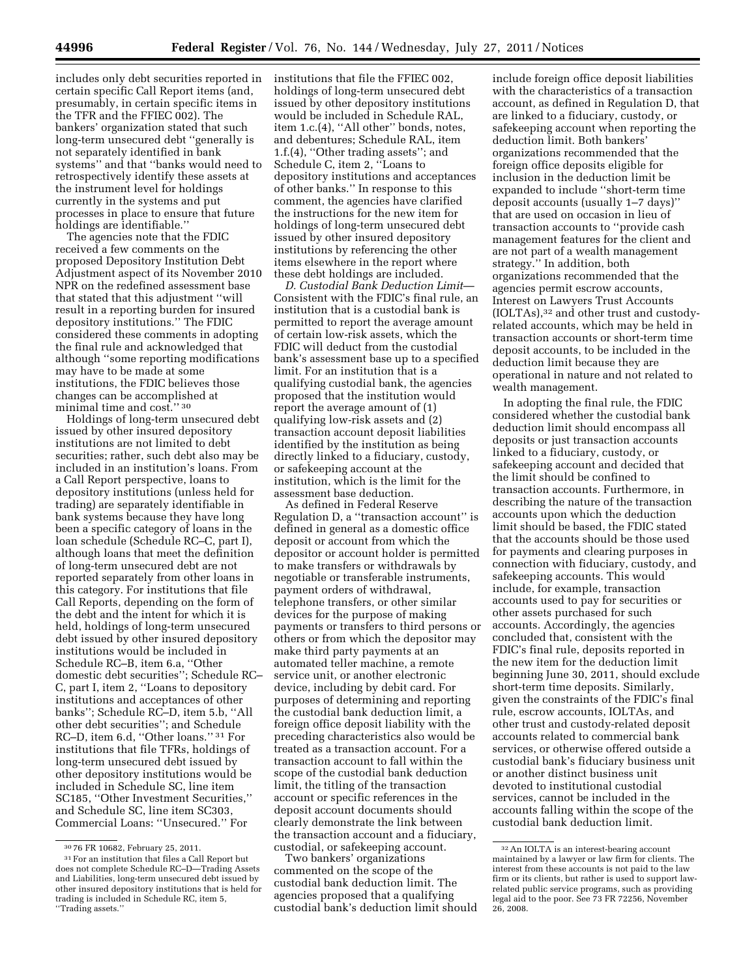includes only debt securities reported in certain specific Call Report items (and, presumably, in certain specific items in the TFR and the FFIEC 002). The bankers' organization stated that such long-term unsecured debt ''generally is not separately identified in bank systems'' and that ''banks would need to retrospectively identify these assets at the instrument level for holdings currently in the systems and put processes in place to ensure that future holdings are identifiable.''

The agencies note that the FDIC received a few comments on the proposed Depository Institution Debt Adjustment aspect of its November 2010 NPR on the redefined assessment base that stated that this adjustment ''will result in a reporting burden for insured depository institutions.'' The FDIC considered these comments in adopting the final rule and acknowledged that although ''some reporting modifications may have to be made at some institutions, the FDIC believes those changes can be accomplished at minimal time and cost.'' 30

Holdings of long-term unsecured debt issued by other insured depository institutions are not limited to debt securities; rather, such debt also may be included in an institution's loans. From a Call Report perspective, loans to depository institutions (unless held for trading) are separately identifiable in bank systems because they have long been a specific category of loans in the loan schedule (Schedule RC–C, part I), although loans that meet the definition of long-term unsecured debt are not reported separately from other loans in this category. For institutions that file Call Reports, depending on the form of the debt and the intent for which it is held, holdings of long-term unsecured debt issued by other insured depository institutions would be included in Schedule RC–B, item 6.a, ''Other domestic debt securities''; Schedule RC– C, part I, item 2, ''Loans to depository institutions and acceptances of other banks''; Schedule RC–D, item 5.b, ''All other debt securities''; and Schedule RC–D, item 6.d, ''Other loans.'' 31 For institutions that file TFRs, holdings of long-term unsecured debt issued by other depository institutions would be included in Schedule SC, line item SC185, ''Other Investment Securities,'' and Schedule SC, line item SC303, Commercial Loans: ''Unsecured.'' For

institutions that file the FFIEC 002, holdings of long-term unsecured debt issued by other depository institutions would be included in Schedule RAL, item 1.c.(4), ''All other'' bonds, notes, and debentures; Schedule RAL, item 1.f.(4), ''Other trading assets''; and Schedule C, item 2, ''Loans to depository institutions and acceptances of other banks.'' In response to this comment, the agencies have clarified the instructions for the new item for holdings of long-term unsecured debt issued by other insured depository institutions by referencing the other items elsewhere in the report where these debt holdings are included.

*D. Custodial Bank Deduction Limit*— Consistent with the FDIC's final rule, an institution that is a custodial bank is permitted to report the average amount of certain low-risk assets, which the FDIC will deduct from the custodial bank's assessment base up to a specified limit. For an institution that is a qualifying custodial bank, the agencies proposed that the institution would report the average amount of (1) qualifying low-risk assets and (2) transaction account deposit liabilities identified by the institution as being directly linked to a fiduciary, custody, or safekeeping account at the institution, which is the limit for the assessment base deduction.

As defined in Federal Reserve Regulation D, a ''transaction account'' is defined in general as a domestic office deposit or account from which the depositor or account holder is permitted to make transfers or withdrawals by negotiable or transferable instruments, payment orders of withdrawal, telephone transfers, or other similar devices for the purpose of making payments or transfers to third persons or others or from which the depositor may make third party payments at an automated teller machine, a remote service unit, or another electronic device, including by debit card. For purposes of determining and reporting the custodial bank deduction limit, a foreign office deposit liability with the preceding characteristics also would be treated as a transaction account. For a transaction account to fall within the scope of the custodial bank deduction limit, the titling of the transaction account or specific references in the deposit account documents should clearly demonstrate the link between the transaction account and a fiduciary, custodial, or safekeeping account.

Two bankers' organizations commented on the scope of the custodial bank deduction limit. The agencies proposed that a qualifying custodial bank's deduction limit should include foreign office deposit liabilities with the characteristics of a transaction account, as defined in Regulation D, that are linked to a fiduciary, custody, or safekeeping account when reporting the deduction limit. Both bankers' organizations recommended that the foreign office deposits eligible for inclusion in the deduction limit be expanded to include ''short-term time deposit accounts (usually 1–7 days)'' that are used on occasion in lieu of transaction accounts to ''provide cash management features for the client and are not part of a wealth management strategy.'' In addition, both organizations recommended that the agencies permit escrow accounts, Interest on Lawyers Trust Accounts (IOLTAs),32 and other trust and custodyrelated accounts, which may be held in transaction accounts or short-term time deposit accounts, to be included in the deduction limit because they are operational in nature and not related to wealth management.

In adopting the final rule, the FDIC considered whether the custodial bank deduction limit should encompass all deposits or just transaction accounts linked to a fiduciary, custody, or safekeeping account and decided that the limit should be confined to transaction accounts. Furthermore, in describing the nature of the transaction accounts upon which the deduction limit should be based, the FDIC stated that the accounts should be those used for payments and clearing purposes in connection with fiduciary, custody, and safekeeping accounts. This would include, for example, transaction accounts used to pay for securities or other assets purchased for such accounts. Accordingly, the agencies concluded that, consistent with the FDIC's final rule, deposits reported in the new item for the deduction limit beginning June 30, 2011, should exclude short-term time deposits. Similarly, given the constraints of the FDIC's final rule, escrow accounts, IOLTAs, and other trust and custody-related deposit accounts related to commercial bank services, or otherwise offered outside a custodial bank's fiduciary business unit or another distinct business unit devoted to institutional custodial services, cannot be included in the accounts falling within the scope of the custodial bank deduction limit.

<sup>30</sup> 76 FR 10682, February 25, 2011.

<sup>31</sup>For an institution that files a Call Report but does not complete Schedule RC–D—Trading Assets and Liabilities, long-term unsecured debt issued by other insured depository institutions that is held for trading is included in Schedule RC, item 5, ''Trading assets.''

<sup>32</sup>An IOLTA is an interest-bearing account maintained by a lawyer or law firm for clients. The interest from these accounts is not paid to the law firm or its clients, but rather is used to support lawrelated public service programs, such as providing legal aid to the poor. See 73 FR 72256, November 26, 2008.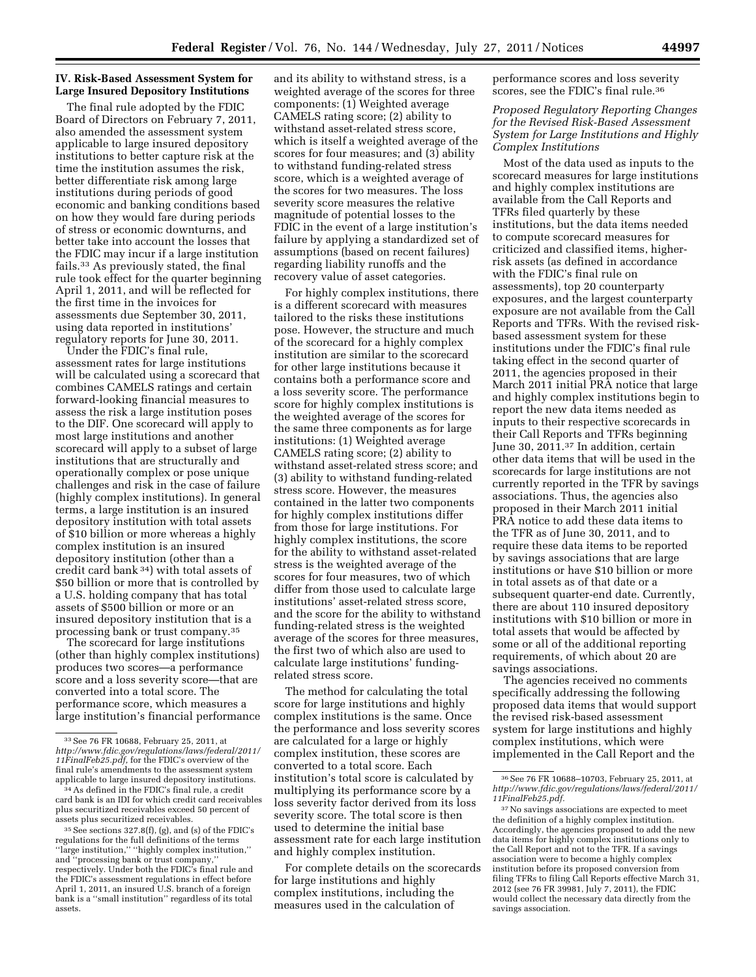### **IV. Risk-Based Assessment System for Large Insured Depository Institutions**

The final rule adopted by the FDIC Board of Directors on February 7, 2011, also amended the assessment system applicable to large insured depository institutions to better capture risk at the time the institution assumes the risk, better differentiate risk among large institutions during periods of good economic and banking conditions based on how they would fare during periods of stress or economic downturns, and better take into account the losses that the FDIC may incur if a large institution fails.33 As previously stated, the final rule took effect for the quarter beginning April 1, 2011, and will be reflected for the first time in the invoices for assessments due September 30, 2011, using data reported in institutions' regulatory reports for June 30, 2011.

Under the FDIC's final rule, assessment rates for large institutions will be calculated using a scorecard that combines CAMELS ratings and certain forward-looking financial measures to assess the risk a large institution poses to the DIF. One scorecard will apply to most large institutions and another scorecard will apply to a subset of large institutions that are structurally and operationally complex or pose unique challenges and risk in the case of failure (highly complex institutions). In general terms, a large institution is an insured depository institution with total assets of \$10 billion or more whereas a highly complex institution is an insured depository institution (other than a credit card bank 34) with total assets of \$50 billion or more that is controlled by a U.S. holding company that has total assets of \$500 billion or more or an insured depository institution that is a processing bank or trust company.35

The scorecard for large institutions (other than highly complex institutions) produces two scores—a performance score and a loss severity score—that are converted into a total score. The performance score, which measures a large institution's financial performance

and its ability to withstand stress, is a weighted average of the scores for three components: (1) Weighted average CAMELS rating score; (2) ability to withstand asset-related stress score, which is itself a weighted average of the scores for four measures; and (3) ability to withstand funding-related stress score, which is a weighted average of the scores for two measures. The loss severity score measures the relative magnitude of potential losses to the FDIC in the event of a large institution's failure by applying a standardized set of assumptions (based on recent failures) regarding liability runoffs and the recovery value of asset categories.

For highly complex institutions, there is a different scorecard with measures tailored to the risks these institutions pose. However, the structure and much of the scorecard for a highly complex institution are similar to the scorecard for other large institutions because it contains both a performance score and a loss severity score. The performance score for highly complex institutions is the weighted average of the scores for the same three components as for large institutions: (1) Weighted average CAMELS rating score; (2) ability to withstand asset-related stress score; and (3) ability to withstand funding-related stress score. However, the measures contained in the latter two components for highly complex institutions differ from those for large institutions. For highly complex institutions, the score for the ability to withstand asset-related stress is the weighted average of the scores for four measures, two of which differ from those used to calculate large institutions' asset-related stress score, and the score for the ability to withstand funding-related stress is the weighted average of the scores for three measures, the first two of which also are used to calculate large institutions' fundingrelated stress score.

The method for calculating the total score for large institutions and highly complex institutions is the same. Once the performance and loss severity scores are calculated for a large or highly complex institution, these scores are converted to a total score. Each institution's total score is calculated by multiplying its performance score by a loss severity factor derived from its loss severity score. The total score is then used to determine the initial base assessment rate for each large institution and highly complex institution.

For complete details on the scorecards for large institutions and highly complex institutions, including the measures used in the calculation of

performance scores and loss severity scores, see the FDIC's final rule.36

#### *Proposed Regulatory Reporting Changes for the Revised Risk-Based Assessment System for Large Institutions and Highly Complex Institutions*

Most of the data used as inputs to the scorecard measures for large institutions and highly complex institutions are available from the Call Reports and TFRs filed quarterly by these institutions, but the data items needed to compute scorecard measures for criticized and classified items, higherrisk assets (as defined in accordance with the FDIC's final rule on assessments), top 20 counterparty exposures, and the largest counterparty exposure are not available from the Call Reports and TFRs. With the revised riskbased assessment system for these institutions under the FDIC's final rule taking effect in the second quarter of 2011, the agencies proposed in their March 2011 initial PRA notice that large and highly complex institutions begin to report the new data items needed as inputs to their respective scorecards in their Call Reports and TFRs beginning June 30, 2011.<sup>37</sup> In addition, certain other data items that will be used in the scorecards for large institutions are not currently reported in the TFR by savings associations. Thus, the agencies also proposed in their March 2011 initial PRA notice to add these data items to the TFR as of June 30, 2011, and to require these data items to be reported by savings associations that are large institutions or have \$10 billion or more in total assets as of that date or a subsequent quarter-end date. Currently, there are about 110 insured depository institutions with \$10 billion or more in total assets that would be affected by some or all of the additional reporting requirements, of which about 20 are savings associations.

The agencies received no comments specifically addressing the following proposed data items that would support the revised risk-based assessment system for large institutions and highly complex institutions, which were implemented in the Call Report and the

<sup>33</sup>See 76 FR 10688, February 25, 2011, at *[http://www.fdic.gov/regulations/laws/federal/2011/](http://www.fdic.gov/regulations/laws/federal/2011/11FinalFeb25.pdf)  [11FinalFeb25.pdf,](http://www.fdic.gov/regulations/laws/federal/2011/11FinalFeb25.pdf)* for the FDIC's overview of the final rule's amendments to the assessment system

applicable to large insured depository institutions. 34As defined in the FDIC's final rule, a credit card bank is an IDI for which credit card receivables plus securitized receivables exceed 50 percent of assets plus securitized receivables.

 $35$  See sections  $327.8(f)$ , (g), and (s) of the FDIC's regulations for the full definitions of the terms ''large institution,'' ''highly complex institution,'' and ''processing bank or trust company,'' respectively. Under both the FDIC's final rule and the FDIC's assessment regulations in effect before April 1, 2011, an insured U.S. branch of a foreign bank is a ''small institution'' regardless of its total assets.

<sup>36</sup>See 76 FR 10688–10703, February 25, 2011, at *[http://www.fdic.gov/regulations/laws/federal/2011/](http://www.fdic.gov/regulations/laws/federal/2011/11FinalFeb25.pdf)  [11FinalFeb25.pdf.](http://www.fdic.gov/regulations/laws/federal/2011/11FinalFeb25.pdf)* 

<sup>37</sup>No savings associations are expected to meet the definition of a highly complex institution. Accordingly, the agencies proposed to add the new data items for highly complex institutions only to the Call Report and not to the TFR. If a savings association were to become a highly complex institution before its proposed conversion from filing TFRs to filing Call Reports effective March 31, 2012 (see 76 FR 39981, July 7, 2011), the FDIC would collect the necessary data directly from the savings association.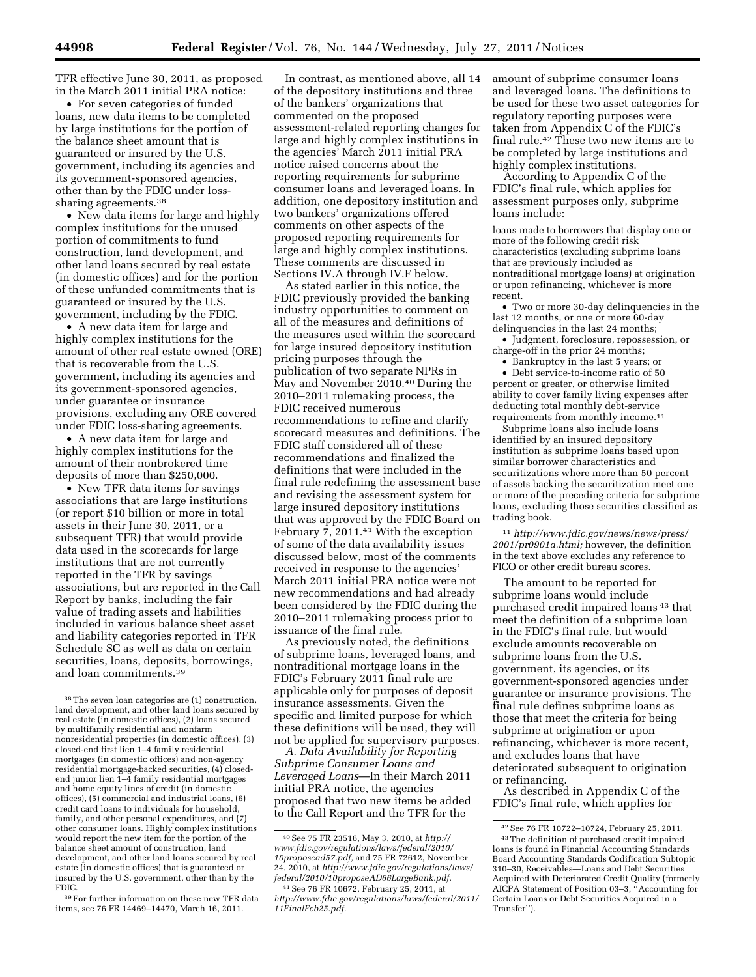TFR effective June 30, 2011, as proposed in the March 2011 initial PRA notice:

• For seven categories of funded loans, new data items to be completed by large institutions for the portion of the balance sheet amount that is guaranteed or insured by the U.S. government, including its agencies and its government-sponsored agencies, other than by the FDIC under losssharing agreements.38

• New data items for large and highly complex institutions for the unused portion of commitments to fund construction, land development, and other land loans secured by real estate (in domestic offices) and for the portion of these unfunded commitments that is guaranteed or insured by the U.S. government, including by the FDIC.

• A new data item for large and highly complex institutions for the amount of other real estate owned (ORE) that is recoverable from the U.S. government, including its agencies and its government-sponsored agencies, under guarantee or insurance provisions, excluding any ORE covered under FDIC loss-sharing agreements.

• A new data item for large and highly complex institutions for the amount of their nonbrokered time deposits of more than \$250,000.

• New TFR data items for savings associations that are large institutions (or report \$10 billion or more in total assets in their June 30, 2011, or a subsequent TFR) that would provide data used in the scorecards for large institutions that are not currently reported in the TFR by savings associations, but are reported in the Call Report by banks, including the fair value of trading assets and liabilities included in various balance sheet asset and liability categories reported in TFR Schedule SC as well as data on certain securities, loans, deposits, borrowings, and loan commitments.39

39For further information on these new TFR data items, see 76 FR 14469–14470, March 16, 2011.

In contrast, as mentioned above, all 14 of the depository institutions and three of the bankers' organizations that commented on the proposed assessment-related reporting changes for large and highly complex institutions in the agencies' March 2011 initial PRA notice raised concerns about the reporting requirements for subprime consumer loans and leveraged loans. In addition, one depository institution and two bankers' organizations offered comments on other aspects of the proposed reporting requirements for large and highly complex institutions. These comments are discussed in Sections IV.A through IV.F below.

As stated earlier in this notice, the FDIC previously provided the banking industry opportunities to comment on all of the measures and definitions of the measures used within the scorecard for large insured depository institution pricing purposes through the publication of two separate NPRs in May and November 2010.40 During the 2010–2011 rulemaking process, the FDIC received numerous recommendations to refine and clarify scorecard measures and definitions. The FDIC staff considered all of these recommendations and finalized the definitions that were included in the final rule redefining the assessment base and revising the assessment system for large insured depository institutions that was approved by the FDIC Board on February 7, 2011.41 With the exception of some of the data availability issues discussed below, most of the comments received in response to the agencies' March 2011 initial PRA notice were not new recommendations and had already been considered by the FDIC during the 2010–2011 rulemaking process prior to issuance of the final rule.

As previously noted, the definitions of subprime loans, leveraged loans, and nontraditional mortgage loans in the FDIC's February 2011 final rule are applicable only for purposes of deposit insurance assessments. Given the specific and limited purpose for which these definitions will be used, they will not be applied for supervisory purposes.

*A. Data Availability for Reporting Subprime Consumer Loans and Leveraged Loans*—In their March 2011 initial PRA notice, the agencies proposed that two new items be added to the Call Report and the TFR for the

amount of subprime consumer loans and leveraged loans. The definitions to be used for these two asset categories for regulatory reporting purposes were taken from Appendix C of the FDIC's final rule.42 These two new items are to be completed by large institutions and highly complex institutions.

According to Appendix C of the FDIC's final rule, which applies for assessment purposes only, subprime loans include:

loans made to borrowers that display one or more of the following credit risk characteristics (excluding subprime loans that are previously included as nontraditional mortgage loans) at origination or upon refinancing, whichever is more recent.

• Two or more 30-day delinquencies in the last 12 months, or one or more 60-day delinquencies in the last 24 months;

• Judgment, foreclosure, repossession, or charge-off in the prior 24 months;

• Bankruptcy in the last 5 years; or

• Debt service-to-income ratio of 50 percent or greater, or otherwise limited ability to cover family living expenses after deducting total monthly debt-service requirements from monthly income.11

Subprime loans also include loans identified by an insured depository institution as subprime loans based upon similar borrower characteristics and securitizations where more than 50 percent of assets backing the securitization meet one or more of the preceding criteria for subprime loans, excluding those securities classified as trading book.

11 *[http://www.fdic.gov/news/news/press/](http://www.fdic.gov/news/news/press/2001/pr0901a.html)  [2001/pr0901a.html;](http://www.fdic.gov/news/news/press/2001/pr0901a.html)* however, the definition in the text above excludes any reference to FICO or other credit bureau scores.

The amount to be reported for subprime loans would include purchased credit impaired loans 43 that meet the definition of a subprime loan in the FDIC's final rule, but would exclude amounts recoverable on subprime loans from the U.S. government, its agencies, or its government-sponsored agencies under guarantee or insurance provisions. The final rule defines subprime loans as those that meet the criteria for being subprime at origination or upon refinancing, whichever is more recent, and excludes loans that have deteriorated subsequent to origination or refinancing.

As described in Appendix C of the FDIC's final rule, which applies for

<sup>38</sup>The seven loan categories are (1) construction, land development, and other land loans secured by real estate (in domestic offices), (2) loans secured by multifamily residential and nonfarm nonresidential properties (in domestic offices), (3) closed-end first lien 1–4 family residential mortgages (in domestic offices) and non-agency residential mortgage-backed securities, (4) closedend junior lien 1–4 family residential mortgages and home equity lines of credit (in domestic offices), (5) commercial and industrial loans, (6) credit card loans to individuals for household, family, and other personal expenditures, and (7) other consumer loans. Highly complex institutions would report the new item for the portion of the balance sheet amount of construction, land development, and other land loans secured by real estate (in domestic offices) that is guaranteed or insured by the U.S. government, other than by the FDIC.

<sup>40</sup>See 75 FR 23516, May 3, 2010, at *[http://](http://www.fdic.gov/regulations/laws/federal/2010/10proposead57.pdf)  [www.fdic.gov/regulations/laws/federal/2010/](http://www.fdic.gov/regulations/laws/federal/2010/10proposead57.pdf) [10proposead57.pdf,](http://www.fdic.gov/regulations/laws/federal/2010/10proposead57.pdf)* and 75 FR 72612, November 24, 2010, at *[http://www.fdic.gov/regulations/laws/](http://www.fdic.gov/regulations/laws/federal/2010/10proposeAD66LargeBank.pdf) [federal/2010/10proposeAD66LargeBank.pdf.](http://www.fdic.gov/regulations/laws/federal/2010/10proposeAD66LargeBank.pdf)* 

<sup>41</sup>See 76 FR 10672, February 25, 2011, at *[http://www.fdic.gov/regulations/laws/federal/2011/](http://www.fdic.gov/regulations/laws/federal/2011/11FinalFeb25.pdf)  [11FinalFeb25.pdf.](http://www.fdic.gov/regulations/laws/federal/2011/11FinalFeb25.pdf)* 

<sup>42</sup>See 76 FR 10722–10724, February 25, 2011. 43The definition of purchased credit impaired loans is found in Financial Accounting Standards Board Accounting Standards Codification Subtopic 310–30, Receivables—Loans and Debt Securities Acquired with Deteriorated Credit Quality (formerly AICPA Statement of Position 03–3, ''Accounting for Certain Loans or Debt Securities Acquired in a Transfer'').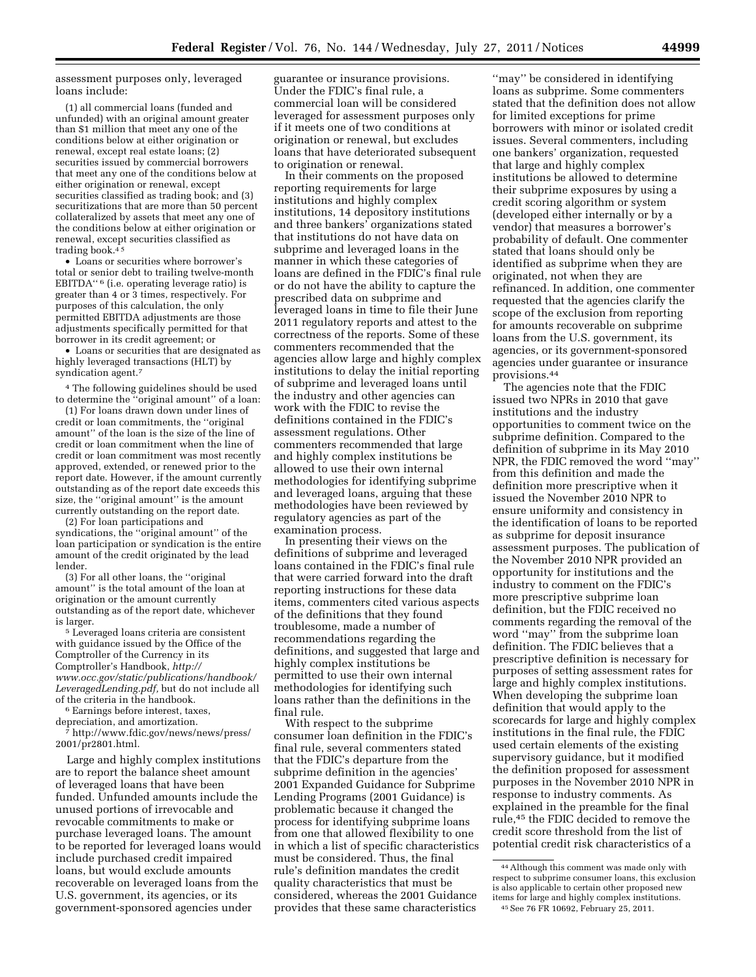assessment purposes only, leveraged loans include:

(1) all commercial loans (funded and unfunded) with an original amount greater than \$1 million that meet any one of the conditions below at either origination or renewal, except real estate loans; (2) securities issued by commercial borrowers that meet any one of the conditions below at either origination or renewal, except securities classified as trading book; and (3) securitizations that are more than 50 percent collateralized by assets that meet any one of the conditions below at either origination or renewal, except securities classified as trading book. $45$ 

• Loans or securities where borrower's total or senior debt to trailing twelve-month EBITDA'' 6 (i.e. operating leverage ratio) is greater than 4 or 3 times, respectively. For purposes of this calculation, the only permitted EBITDA adjustments are those adjustments specifically permitted for that borrower in its credit agreement; or

• Loans or securities that are designated as highly leveraged transactions (HLT) by syndication agent.7

4 The following guidelines should be used to determine the ''original amount'' of a loan:

(1) For loans drawn down under lines of credit or loan commitments, the ''original amount'' of the loan is the size of the line of credit or loan commitment when the line of credit or loan commitment was most recently approved, extended, or renewed prior to the report date. However, if the amount currently outstanding as of the report date exceeds this size, the ''original amount'' is the amount currently outstanding on the report date.

(2) For loan participations and syndications, the ''original amount'' of the loan participation or syndication is the entire amount of the credit originated by the lead lender.

(3) For all other loans, the ''original amount'' is the total amount of the loan at origination or the amount currently outstanding as of the report date, whichever

is larger. 5 Leveraged loans criteria are consistent with guidance issued by the Office of the Comptroller of the Currency in its Comptroller's Handbook, *[http://](http://www.occ.gov/static/publications/handbook/LeveragedLending.pdf) [www.occ.gov/static/publications/handbook/](http://www.occ.gov/static/publications/handbook/LeveragedLending.pdf)  [LeveragedLending.pdf,](http://www.occ.gov/static/publications/handbook/LeveragedLending.pdf)* but do not include all

 $^6$  Earnings before interest, taxes, depreciation, and amortization.

 $\bar{z}$  [http://www.fdic.gov/news/news/press/](http://www.fdic.gov/news/news/press/2001/pr2801.html) 2001/pr2801.html.

Large and highly complex institutions are to report the balance sheet amount of leveraged loans that have been funded. Unfunded amounts include the unused portions of irrevocable and revocable commitments to make or purchase leveraged loans. The amount to be reported for leveraged loans would include purchased credit impaired loans, but would exclude amounts recoverable on leveraged loans from the U.S. government, its agencies, or its government-sponsored agencies under

guarantee or insurance provisions. Under the FDIC's final rule, a commercial loan will be considered leveraged for assessment purposes only if it meets one of two conditions at origination or renewal, but excludes loans that have deteriorated subsequent to origination or renewal.

In their comments on the proposed reporting requirements for large institutions and highly complex institutions, 14 depository institutions and three bankers' organizations stated that institutions do not have data on subprime and leveraged loans in the manner in which these categories of loans are defined in the FDIC's final rule or do not have the ability to capture the prescribed data on subprime and leveraged loans in time to file their June 2011 regulatory reports and attest to the correctness of the reports. Some of these commenters recommended that the agencies allow large and highly complex institutions to delay the initial reporting of subprime and leveraged loans until the industry and other agencies can work with the FDIC to revise the definitions contained in the FDIC's assessment regulations. Other commenters recommended that large and highly complex institutions be allowed to use their own internal methodologies for identifying subprime and leveraged loans, arguing that these methodologies have been reviewed by regulatory agencies as part of the examination process.

In presenting their views on the definitions of subprime and leveraged loans contained in the FDIC's final rule that were carried forward into the draft reporting instructions for these data items, commenters cited various aspects of the definitions that they found troublesome, made a number of recommendations regarding the definitions, and suggested that large and highly complex institutions be permitted to use their own internal methodologies for identifying such loans rather than the definitions in the final rule.

With respect to the subprime consumer loan definition in the FDIC's final rule, several commenters stated that the FDIC's departure from the subprime definition in the agencies' 2001 Expanded Guidance for Subprime Lending Programs (2001 Guidance) is problematic because it changed the process for identifying subprime loans from one that allowed flexibility to one in which a list of specific characteristics must be considered. Thus, the final rule's definition mandates the credit quality characteristics that must be considered, whereas the 2001 Guidance provides that these same characteristics

''may'' be considered in identifying loans as subprime. Some commenters stated that the definition does not allow for limited exceptions for prime borrowers with minor or isolated credit issues. Several commenters, including one bankers' organization, requested that large and highly complex institutions be allowed to determine their subprime exposures by using a credit scoring algorithm or system (developed either internally or by a vendor) that measures a borrower's probability of default. One commenter stated that loans should only be identified as subprime when they are originated, not when they are refinanced. In addition, one commenter requested that the agencies clarify the scope of the exclusion from reporting for amounts recoverable on subprime loans from the U.S. government, its agencies, or its government-sponsored agencies under guarantee or insurance provisions.44

The agencies note that the FDIC issued two NPRs in 2010 that gave institutions and the industry opportunities to comment twice on the subprime definition. Compared to the definition of subprime in its May 2010 NPR, the FDIC removed the word ''may'' from this definition and made the definition more prescriptive when it issued the November 2010 NPR to ensure uniformity and consistency in the identification of loans to be reported as subprime for deposit insurance assessment purposes. The publication of the November 2010 NPR provided an opportunity for institutions and the industry to comment on the FDIC's more prescriptive subprime loan definition, but the FDIC received no comments regarding the removal of the word ''may'' from the subprime loan definition. The FDIC believes that a prescriptive definition is necessary for purposes of setting assessment rates for large and highly complex institutions. When developing the subprime loan definition that would apply to the scorecards for large and highly complex institutions in the final rule, the FDIC used certain elements of the existing supervisory guidance, but it modified the definition proposed for assessment purposes in the November 2010 NPR in response to industry comments. As explained in the preamble for the final rule,45 the FDIC decided to remove the credit score threshold from the list of potential credit risk characteristics of a

<sup>44</sup>Although this comment was made only with respect to subprime consumer loans, this exclusion is also applicable to certain other proposed new items for large and highly complex institutions. 45See 76 FR 10692, February 25, 2011.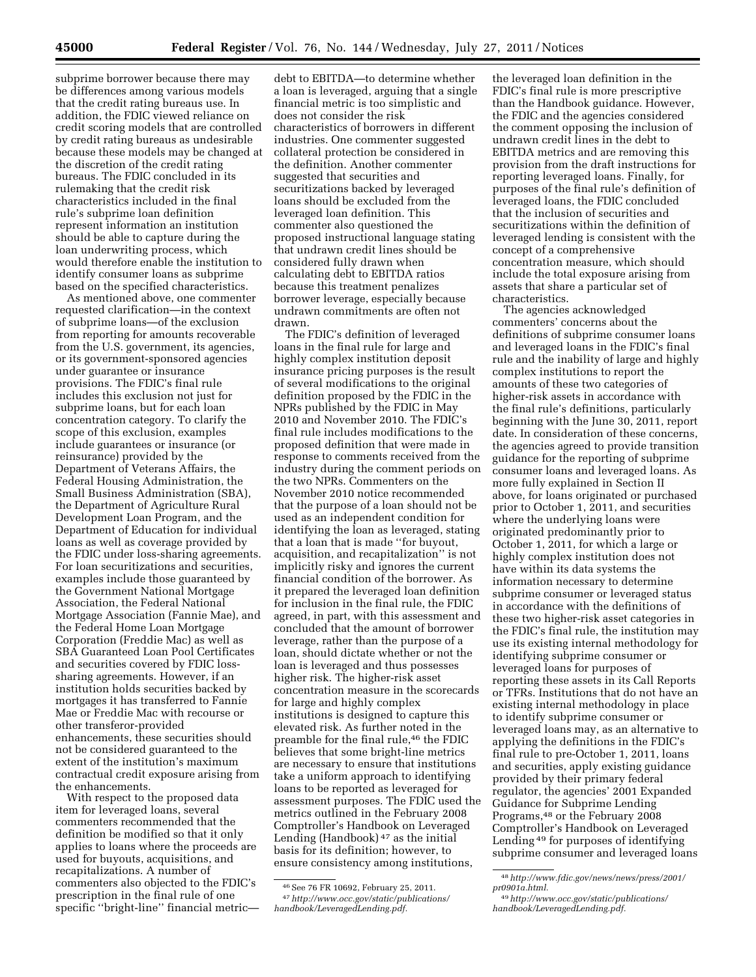subprime borrower because there may be differences among various models that the credit rating bureaus use. In addition, the FDIC viewed reliance on credit scoring models that are controlled by credit rating bureaus as undesirable because these models may be changed at the discretion of the credit rating bureaus. The FDIC concluded in its rulemaking that the credit risk characteristics included in the final rule's subprime loan definition represent information an institution should be able to capture during the loan underwriting process, which would therefore enable the institution to identify consumer loans as subprime based on the specified characteristics.

As mentioned above, one commenter requested clarification—in the context of subprime loans—of the exclusion from reporting for amounts recoverable from the U.S. government, its agencies, or its government-sponsored agencies under guarantee or insurance provisions. The FDIC's final rule includes this exclusion not just for subprime loans, but for each loan concentration category. To clarify the scope of this exclusion, examples include guarantees or insurance (or reinsurance) provided by the Department of Veterans Affairs, the Federal Housing Administration, the Small Business Administration (SBA), the Department of Agriculture Rural Development Loan Program, and the Department of Education for individual loans as well as coverage provided by the FDIC under loss-sharing agreements. For loan securitizations and securities, examples include those guaranteed by the Government National Mortgage Association, the Federal National Mortgage Association (Fannie Mae), and the Federal Home Loan Mortgage Corporation (Freddie Mac) as well as SBA Guaranteed Loan Pool Certificates and securities covered by FDIC losssharing agreements. However, if an institution holds securities backed by mortgages it has transferred to Fannie Mae or Freddie Mac with recourse or other transferor-provided enhancements, these securities should not be considered guaranteed to the extent of the institution's maximum contractual credit exposure arising from the enhancements.

With respect to the proposed data item for leveraged loans, several commenters recommended that the definition be modified so that it only applies to loans where the proceeds are used for buyouts, acquisitions, and recapitalizations. A number of commenters also objected to the FDIC's prescription in the final rule of one specific "bright-line" financial metric-

debt to EBITDA—to determine whether a loan is leveraged, arguing that a single financial metric is too simplistic and does not consider the risk characteristics of borrowers in different industries. One commenter suggested collateral protection be considered in the definition. Another commenter suggested that securities and securitizations backed by leveraged loans should be excluded from the leveraged loan definition. This commenter also questioned the proposed instructional language stating that undrawn credit lines should be considered fully drawn when calculating debt to EBITDA ratios because this treatment penalizes borrower leverage, especially because undrawn commitments are often not drawn.

The FDIC's definition of leveraged loans in the final rule for large and highly complex institution deposit insurance pricing purposes is the result of several modifications to the original definition proposed by the FDIC in the NPRs published by the FDIC in May 2010 and November 2010. The FDIC's final rule includes modifications to the proposed definition that were made in response to comments received from the industry during the comment periods on the two NPRs. Commenters on the November 2010 notice recommended that the purpose of a loan should not be used as an independent condition for identifying the loan as leveraged, stating that a loan that is made ''for buyout, acquisition, and recapitalization'' is not implicitly risky and ignores the current financial condition of the borrower. As it prepared the leveraged loan definition for inclusion in the final rule, the FDIC agreed, in part, with this assessment and concluded that the amount of borrower leverage, rather than the purpose of a loan, should dictate whether or not the loan is leveraged and thus possesses higher risk. The higher-risk asset concentration measure in the scorecards for large and highly complex institutions is designed to capture this elevated risk. As further noted in the preamble for the final rule,46 the FDIC believes that some bright-line metrics are necessary to ensure that institutions take a uniform approach to identifying loans to be reported as leveraged for assessment purposes. The FDIC used the metrics outlined in the February 2008 Comptroller's Handbook on Leveraged Lending (Handbook) 47 as the initial basis for its definition; however, to ensure consistency among institutions,

the leveraged loan definition in the FDIC's final rule is more prescriptive than the Handbook guidance. However, the FDIC and the agencies considered the comment opposing the inclusion of undrawn credit lines in the debt to EBITDA metrics and are removing this provision from the draft instructions for reporting leveraged loans. Finally, for purposes of the final rule's definition of leveraged loans, the FDIC concluded that the inclusion of securities and securitizations within the definition of leveraged lending is consistent with the concept of a comprehensive concentration measure, which should include the total exposure arising from assets that share a particular set of characteristics.

The agencies acknowledged commenters' concerns about the definitions of subprime consumer loans and leveraged loans in the FDIC's final rule and the inability of large and highly complex institutions to report the amounts of these two categories of higher-risk assets in accordance with the final rule's definitions, particularly beginning with the June 30, 2011, report date. In consideration of these concerns, the agencies agreed to provide transition guidance for the reporting of subprime consumer loans and leveraged loans. As more fully explained in Section II above, for loans originated or purchased prior to October 1, 2011, and securities where the underlying loans were originated predominantly prior to October 1, 2011, for which a large or highly complex institution does not have within its data systems the information necessary to determine subprime consumer or leveraged status in accordance with the definitions of these two higher-risk asset categories in the FDIC's final rule, the institution may use its existing internal methodology for identifying subprime consumer or leveraged loans for purposes of reporting these assets in its Call Reports or TFRs. Institutions that do not have an existing internal methodology in place to identify subprime consumer or leveraged loans may, as an alternative to applying the definitions in the FDIC's final rule to pre-October 1, 2011, loans and securities, apply existing guidance provided by their primary federal regulator, the agencies' 2001 Expanded Guidance for Subprime Lending Programs,48 or the February 2008 Comptroller's Handbook on Leveraged Lending 49 for purposes of identifying subprime consumer and leveraged loans

<sup>46</sup>See 76 FR 10692, February 25, 2011. 47*[http://www.occ.gov/static/publications/](http://www.occ.gov/static/publications/handbook/LeveragedLending.pdf) [handbook/LeveragedLending.pdf.](http://www.occ.gov/static/publications/handbook/LeveragedLending.pdf)* 

<sup>48</sup>*[http://www.fdic.gov/news/news/press/2001/](http://www.fdic.gov/news/news/press/2001/pr0901a.html) [pr0901a.html.](http://www.fdic.gov/news/news/press/2001/pr0901a.html)* 

<sup>49</sup>*[http://www.occ.gov/static/publications/](http://www.occ.gov/static/publications/handbook/LeveragedLending.pdf)* 

*[handbook/LeveragedLending.pdf.](http://www.occ.gov/static/publications/handbook/LeveragedLending.pdf)*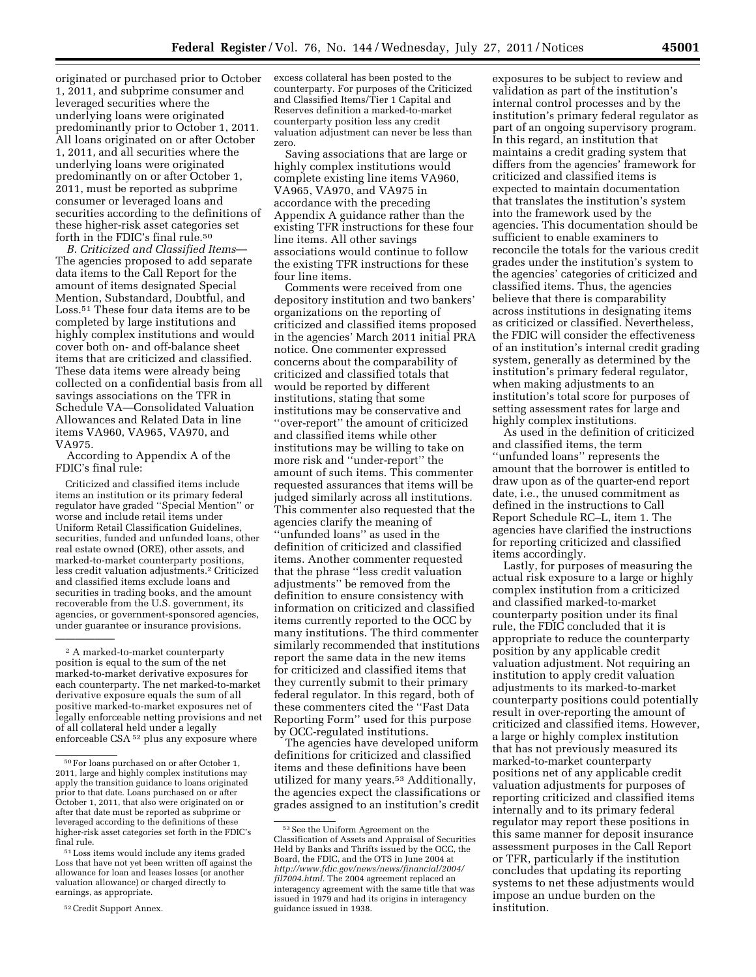originated or purchased prior to October 1, 2011, and subprime consumer and leveraged securities where the underlying loans were originated predominantly prior to October 1, 2011. All loans originated on or after October 1, 2011, and all securities where the underlying loans were originated predominantly on or after October 1, 2011, must be reported as subprime consumer or leveraged loans and securities according to the definitions of these higher-risk asset categories set forth in the FDIC's final rule.50

*B. Criticized and Classified Items*— The agencies proposed to add separate data items to the Call Report for the amount of items designated Special Mention, Substandard, Doubtful, and Loss.51 These four data items are to be completed by large institutions and highly complex institutions and would cover both on- and off-balance sheet items that are criticized and classified. These data items were already being collected on a confidential basis from all savings associations on the TFR in Schedule VA—Consolidated Valuation Allowances and Related Data in line items VA960, VA965, VA970, and VA975.

According to Appendix A of the FDIC's final rule:

Criticized and classified items include items an institution or its primary federal regulator have graded ''Special Mention'' or worse and include retail items under Uniform Retail Classification Guidelines, securities, funded and unfunded loans, other real estate owned (ORE), other assets, and marked-to-market counterparty positions, less credit valuation adjustments.2 Criticized and classified items exclude loans and securities in trading books, and the amount recoverable from the U.S. government, its agencies, or government-sponsored agencies, under guarantee or insurance provisions.

——————

excess collateral has been posted to the counterparty. For purposes of the Criticized and Classified Items/Tier 1 Capital and Reserves definition a marked-to-market counterparty position less any credit valuation adjustment can never be less than zero.

Saving associations that are large or highly complex institutions would complete existing line items VA960, VA965, VA970, and VA975 in accordance with the preceding Appendix A guidance rather than the existing TFR instructions for these four line items. All other savings associations would continue to follow the existing TFR instructions for these four line items.

Comments were received from one depository institution and two bankers' organizations on the reporting of criticized and classified items proposed in the agencies' March 2011 initial PRA notice. One commenter expressed concerns about the comparability of criticized and classified totals that would be reported by different institutions, stating that some institutions may be conservative and ''over-report'' the amount of criticized and classified items while other institutions may be willing to take on more risk and ''under-report'' the amount of such items. This commenter requested assurances that items will be judged similarly across all institutions. This commenter also requested that the agencies clarify the meaning of ''unfunded loans'' as used in the definition of criticized and classified items. Another commenter requested that the phrase ''less credit valuation adjustments'' be removed from the definition to ensure consistency with information on criticized and classified items currently reported to the OCC by many institutions. The third commenter similarly recommended that institutions report the same data in the new items for criticized and classified items that they currently submit to their primary federal regulator. In this regard, both of these commenters cited the ''Fast Data Reporting Form'' used for this purpose by OCC-regulated institutions.

The agencies have developed uniform definitions for criticized and classified items and these definitions have been utilized for many years.<sup>53</sup> Additionally, the agencies expect the classifications or grades assigned to an institution's credit

exposures to be subject to review and validation as part of the institution's internal control processes and by the institution's primary federal regulator as part of an ongoing supervisory program. In this regard, an institution that maintains a credit grading system that differs from the agencies' framework for criticized and classified items is expected to maintain documentation that translates the institution's system into the framework used by the agencies. This documentation should be sufficient to enable examiners to reconcile the totals for the various credit grades under the institution's system to the agencies' categories of criticized and classified items. Thus, the agencies believe that there is comparability across institutions in designating items as criticized or classified. Nevertheless, the FDIC will consider the effectiveness of an institution's internal credit grading system, generally as determined by the institution's primary federal regulator, when making adjustments to an institution's total score for purposes of setting assessment rates for large and highly complex institutions.

As used in the definition of criticized and classified items, the term ''unfunded loans'' represents the amount that the borrower is entitled to draw upon as of the quarter-end report date, i.e., the unused commitment as defined in the instructions to Call Report Schedule RC–L, item 1. The agencies have clarified the instructions for reporting criticized and classified items accordingly.

Lastly, for purposes of measuring the actual risk exposure to a large or highly complex institution from a criticized and classified marked-to-market counterparty position under its final rule, the FDIC concluded that it is appropriate to reduce the counterparty position by any applicable credit valuation adjustment. Not requiring an institution to apply credit valuation adjustments to its marked-to-market counterparty positions could potentially result in over-reporting the amount of criticized and classified items. However, a large or highly complex institution that has not previously measured its marked-to-market counterparty positions net of any applicable credit valuation adjustments for purposes of reporting criticized and classified items internally and to its primary federal regulator may report these positions in this same manner for deposit insurance assessment purposes in the Call Report or TFR, particularly if the institution concludes that updating its reporting systems to net these adjustments would impose an undue burden on the institution.

<sup>2</sup> A marked-to-market counterparty position is equal to the sum of the net marked-to-market derivative exposures for each counterparty. The net marked-to-market derivative exposure equals the sum of all positive marked-to-market exposures net of legally enforceable netting provisions and net of all collateral held under a legally enforceable CSA 52 plus any exposure where

<sup>50</sup>For loans purchased on or after October 1, 2011, large and highly complex institutions may apply the transition guidance to loans originated prior to that date. Loans purchased on or after October 1, 2011, that also were originated on or after that date must be reported as subprime or leveraged according to the definitions of these higher-risk asset categories set forth in the FDIC's final rule.

<sup>51</sup>Loss items would include any items graded Loss that have not yet been written off against the allowance for loan and leases losses (or another valuation allowance) or charged directly to earnings, as appropriate.

<sup>52</sup>Credit Support Annex.

<sup>53</sup>See the Uniform Agreement on the Classification of Assets and Appraisal of Securities Held by Banks and Thrifts issued by the OCC, the Board, the FDIC, and the OTS in June 2004 at *[http://www.fdic.gov/news/news/financial/2004/](http://www.fdic.gov/news/news/financial/2004/fil7004.html) [fil7004.html.](http://www.fdic.gov/news/news/financial/2004/fil7004.html)* The 2004 agreement replaced an interagency agreement with the same title that was issued in 1979 and had its origins in interagency guidance issued in 1938.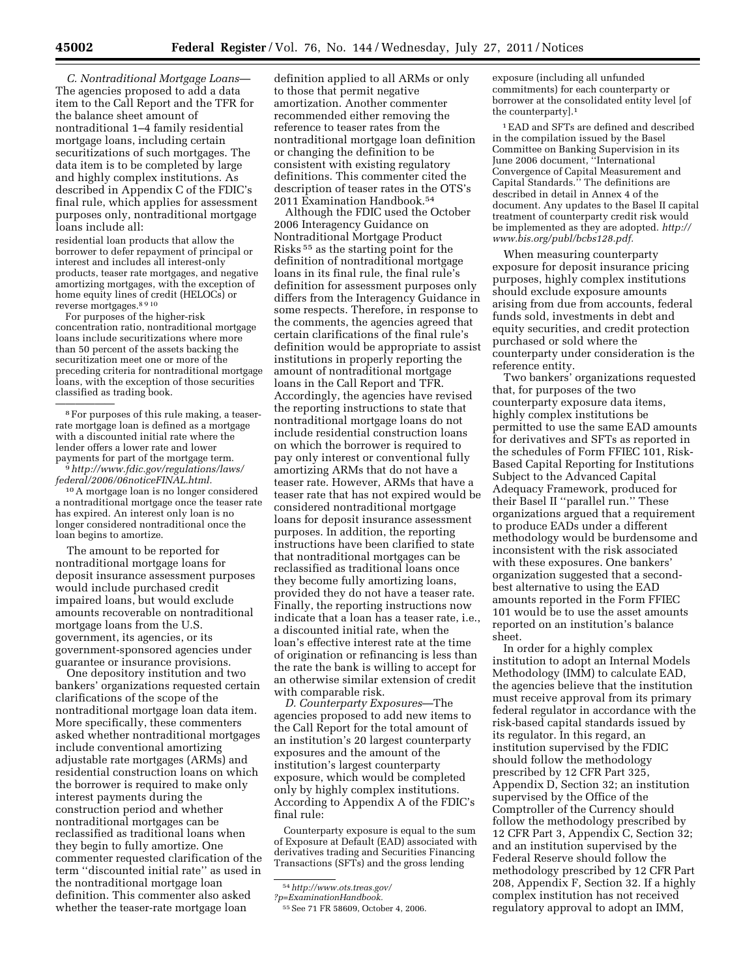*C. Nontraditional Mortgage Loans*— The agencies proposed to add a data item to the Call Report and the TFR for the balance sheet amount of nontraditional 1–4 family residential mortgage loans, including certain securitizations of such mortgages. The data item is to be completed by large and highly complex institutions. As described in Appendix C of the FDIC's final rule, which applies for assessment purposes only, nontraditional mortgage loans include all:

residential loan products that allow the borrower to defer repayment of principal or interest and includes all interest-only products, teaser rate mortgages, and negative amortizing mortgages, with the exception of home equity lines of credit (HELOCs) or reverse mortgages.8 9 10

For purposes of the higher-risk concentration ratio, nontraditional mortgage loans include securitizations where more than 50 percent of the assets backing the securitization meet one or more of the preceding criteria for nontraditional mortgage loans, with the exception of those securities classified as trading book.

<sup>9</sup> http://www.fdic.gov/regulations/laws/ *[federal/2006/06noticeFINAL.html.](http://www.fdic.gov/regulations/laws/federal/2006/06noticeFINAL.html)* 

10A mortgage loan is no longer considered a nontraditional mortgage once the teaser rate has expired. An interest only loan is no longer considered nontraditional once the loan begins to amortize.

The amount to be reported for nontraditional mortgage loans for deposit insurance assessment purposes would include purchased credit impaired loans, but would exclude amounts recoverable on nontraditional mortgage loans from the U.S. government, its agencies, or its government-sponsored agencies under guarantee or insurance provisions.

One depository institution and two bankers' organizations requested certain clarifications of the scope of the nontraditional mortgage loan data item. More specifically, these commenters asked whether nontraditional mortgages include conventional amortizing adjustable rate mortgages (ARMs) and residential construction loans on which the borrower is required to make only interest payments during the construction period and whether nontraditional mortgages can be reclassified as traditional loans when they begin to fully amortize. One commenter requested clarification of the term ''discounted initial rate'' as used in the nontraditional mortgage loan definition. This commenter also asked whether the teaser-rate mortgage loan

definition applied to all ARMs or only to those that permit negative amortization. Another commenter recommended either removing the reference to teaser rates from the nontraditional mortgage loan definition or changing the definition to be consistent with existing regulatory definitions. This commenter cited the description of teaser rates in the OTS's 2011 Examination Handbook.54

Although the FDIC used the October 2006 Interagency Guidance on Nontraditional Mortgage Product Risks 55 as the starting point for the definition of nontraditional mortgage loans in its final rule, the final rule's definition for assessment purposes only differs from the Interagency Guidance in some respects. Therefore, in response to the comments, the agencies agreed that certain clarifications of the final rule's definition would be appropriate to assist institutions in properly reporting the amount of nontraditional mortgage loans in the Call Report and TFR. Accordingly, the agencies have revised the reporting instructions to state that nontraditional mortgage loans do not include residential construction loans on which the borrower is required to pay only interest or conventional fully amortizing ARMs that do not have a teaser rate. However, ARMs that have a teaser rate that has not expired would be considered nontraditional mortgage loans for deposit insurance assessment purposes. In addition, the reporting instructions have been clarified to state that nontraditional mortgages can be reclassified as traditional loans once they become fully amortizing loans, provided they do not have a teaser rate. Finally, the reporting instructions now indicate that a loan has a teaser rate, i.e., a discounted initial rate, when the loan's effective interest rate at the time of origination or refinancing is less than the rate the bank is willing to accept for an otherwise similar extension of credit with comparable risk.

*D. Counterparty Exposures*—The agencies proposed to add new items to the Call Report for the total amount of an institution's 20 largest counterparty exposures and the amount of the institution's largest counterparty exposure, which would be completed only by highly complex institutions. According to Appendix A of the FDIC's final rule:

Counterparty exposure is equal to the sum of Exposure at Default (EAD) associated with derivatives trading and Securities Financing Transactions (SFTs) and the gross lending

exposure (including all unfunded commitments) for each counterparty or borrower at the consolidated entity level [of the counterparty].1

1EAD and SFTs are defined and described in the compilation issued by the Basel Committee on Banking Supervision in its June 2006 document, ''International Convergence of Capital Measurement and Capital Standards.'' The definitions are described in detail in Annex 4 of the document. Any updates to the Basel II capital treatment of counterparty credit risk would be implemented as they are adopted. *[http://](http://www.bis.org/publ/bcbs128.pdf)  [www.bis.org/publ/bcbs128.pdf.](http://www.bis.org/publ/bcbs128.pdf)* 

When measuring counterparty exposure for deposit insurance pricing purposes, highly complex institutions should exclude exposure amounts arising from due from accounts, federal funds sold, investments in debt and equity securities, and credit protection purchased or sold where the counterparty under consideration is the reference entity.

Two bankers' organizations requested that, for purposes of the two counterparty exposure data items, highly complex institutions be permitted to use the same EAD amounts for derivatives and SFTs as reported in the schedules of Form FFIEC 101, Risk-Based Capital Reporting for Institutions Subject to the Advanced Capital Adequacy Framework, produced for their Basel II ''parallel run.'' These organizations argued that a requirement to produce EADs under a different methodology would be burdensome and inconsistent with the risk associated with these exposures. One bankers' organization suggested that a secondbest alternative to using the EAD amounts reported in the Form FFIEC 101 would be to use the asset amounts reported on an institution's balance sheet.

In order for a highly complex institution to adopt an Internal Models Methodology (IMM) to calculate EAD, the agencies believe that the institution must receive approval from its primary federal regulator in accordance with the risk-based capital standards issued by its regulator. In this regard, an institution supervised by the FDIC should follow the methodology prescribed by 12 CFR Part 325, Appendix D, Section 32; an institution supervised by the Office of the Comptroller of the Currency should follow the methodology prescribed by 12 CFR Part 3, Appendix C, Section 32; and an institution supervised by the Federal Reserve should follow the methodology prescribed by 12 CFR Part 208, Appendix F, Section 32. If a highly complex institution has not received regulatory approval to adopt an IMM,

<sup>&</sup>lt;sup>8</sup> For purposes of this rule making, a teaserrate mortgage loan is defined as a mortgage with a discounted initial rate where the lender offers a lower rate and lower<br>payments for part of the mortgage term.

<sup>54</sup>*[http://www.ots.treas.gov/](http://www.ots.treas.gov/?p=ExaminationHandbook)* 

*[<sup>?</sup>p=ExaminationHandbook.](http://www.ots.treas.gov/?p=ExaminationHandbook)* 

<sup>55</sup>See 71 FR 58609, October 4, 2006.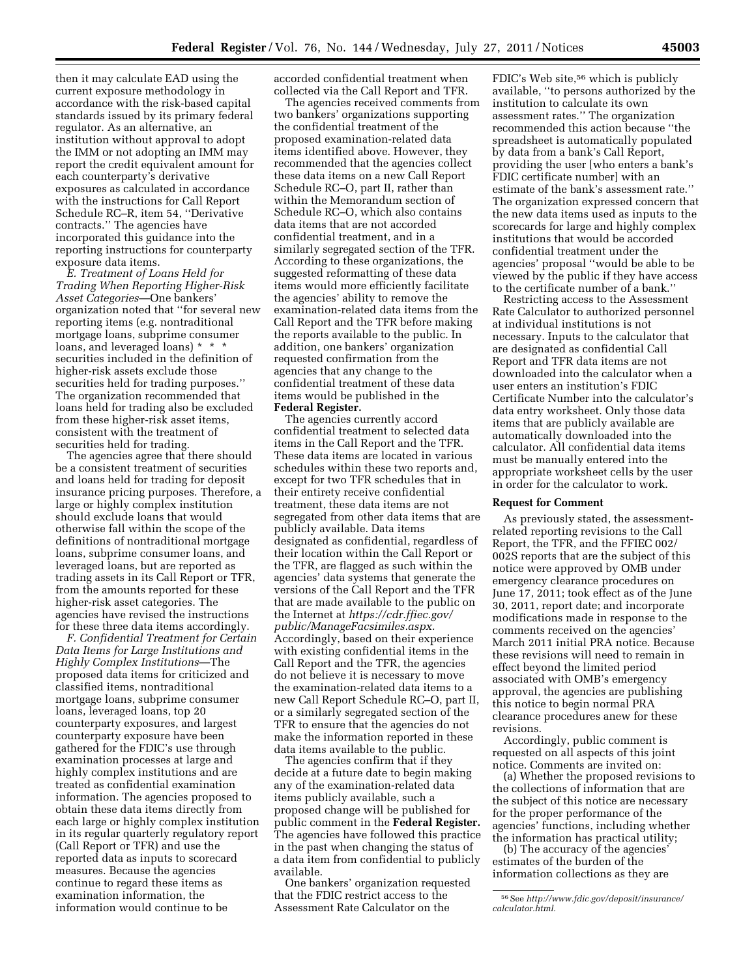then it may calculate EAD using the current exposure methodology in accordance with the risk-based capital standards issued by its primary federal regulator. As an alternative, an institution without approval to adopt the IMM or not adopting an IMM may report the credit equivalent amount for each counterparty's derivative exposures as calculated in accordance with the instructions for Call Report Schedule RC–R, item 54, ''Derivative contracts.'' The agencies have incorporated this guidance into the reporting instructions for counterparty exposure data items.

*E. Treatment of Loans Held for Trading When Reporting Higher-Risk Asset Categories*—One bankers' organization noted that ''for several new reporting items (e.g. nontraditional mortgage loans, subprime consumer loans, and leveraged loans) \* \* \* securities included in the definition of higher-risk assets exclude those securities held for trading purposes.'' The organization recommended that loans held for trading also be excluded from these higher-risk asset items, consistent with the treatment of securities held for trading.

The agencies agree that there should be a consistent treatment of securities and loans held for trading for deposit insurance pricing purposes. Therefore, a large or highly complex institution should exclude loans that would otherwise fall within the scope of the definitions of nontraditional mortgage loans, subprime consumer loans, and leveraged loans, but are reported as trading assets in its Call Report or TFR, from the amounts reported for these higher-risk asset categories. The agencies have revised the instructions for these three data items accordingly.

*F. Confidential Treatment for Certain Data Items for Large Institutions and Highly Complex Institutions*—The proposed data items for criticized and classified items, nontraditional mortgage loans, subprime consumer loans, leveraged loans, top 20 counterparty exposures, and largest counterparty exposure have been gathered for the FDIC's use through examination processes at large and highly complex institutions and are treated as confidential examination information. The agencies proposed to obtain these data items directly from each large or highly complex institution in its regular quarterly regulatory report (Call Report or TFR) and use the reported data as inputs to scorecard measures. Because the agencies continue to regard these items as examination information, the information would continue to be

accorded confidential treatment when collected via the Call Report and TFR.

The agencies received comments from two bankers' organizations supporting the confidential treatment of the proposed examination-related data items identified above. However, they recommended that the agencies collect these data items on a new Call Report Schedule RC–O, part II, rather than within the Memorandum section of Schedule RC–O, which also contains data items that are not accorded confidential treatment, and in a similarly segregated section of the TFR. According to these organizations, the suggested reformatting of these data items would more efficiently facilitate the agencies' ability to remove the examination-related data items from the Call Report and the TFR before making the reports available to the public. In addition, one bankers' organization requested confirmation from the agencies that any change to the confidential treatment of these data items would be published in the **Federal Register.** 

The agencies currently accord confidential treatment to selected data items in the Call Report and the TFR. These data items are located in various schedules within these two reports and, except for two TFR schedules that in their entirety receive confidential treatment, these data items are not segregated from other data items that are publicly available. Data items designated as confidential, regardless of their location within the Call Report or the TFR, are flagged as such within the agencies' data systems that generate the versions of the Call Report and the TFR that are made available to the public on the Internet at *[https://cdr.ffiec.gov/](https://cdr.ffiec.gov/public/ManageFacsimiles.aspx)  [public/ManageFacsimiles.aspx.](https://cdr.ffiec.gov/public/ManageFacsimiles.aspx)*  Accordingly, based on their experience with existing confidential items in the Call Report and the TFR, the agencies do not believe it is necessary to move the examination-related data items to a new Call Report Schedule RC–O, part II, or a similarly segregated section of the TFR to ensure that the agencies do not make the information reported in these data items available to the public.

The agencies confirm that if they decide at a future date to begin making any of the examination-related data items publicly available, such a proposed change will be published for public comment in the **Federal Register.**  The agencies have followed this practice in the past when changing the status of a data item from confidential to publicly available.

One bankers' organization requested that the FDIC restrict access to the Assessment Rate Calculator on the

FDIC's Web site, $56$  which is publicly available, ''to persons authorized by the institution to calculate its own assessment rates.'' The organization recommended this action because ''the spreadsheet is automatically populated by data from a bank's Call Report, providing the user [who enters a bank's FDIC certificate number] with an estimate of the bank's assessment rate.'' The organization expressed concern that the new data items used as inputs to the scorecards for large and highly complex institutions that would be accorded confidential treatment under the agencies' proposal ''would be able to be viewed by the public if they have access to the certificate number of a bank.''

Restricting access to the Assessment Rate Calculator to authorized personnel at individual institutions is not necessary. Inputs to the calculator that are designated as confidential Call Report and TFR data items are not downloaded into the calculator when a user enters an institution's FDIC Certificate Number into the calculator's data entry worksheet. Only those data items that are publicly available are automatically downloaded into the calculator. All confidential data items must be manually entered into the appropriate worksheet cells by the user in order for the calculator to work.

#### **Request for Comment**

As previously stated, the assessmentrelated reporting revisions to the Call Report, the TFR, and the FFIEC 002/ 002S reports that are the subject of this notice were approved by OMB under emergency clearance procedures on June 17, 2011; took effect as of the June 30, 2011, report date; and incorporate modifications made in response to the comments received on the agencies' March 2011 initial PRA notice. Because these revisions will need to remain in effect beyond the limited period associated with OMB's emergency approval, the agencies are publishing this notice to begin normal PRA clearance procedures anew for these revisions.

Accordingly, public comment is requested on all aspects of this joint notice. Comments are invited on:

(a) Whether the proposed revisions to the collections of information that are the subject of this notice are necessary for the proper performance of the agencies' functions, including whether the information has practical utility;

(b) The accuracy of the agencies' estimates of the burden of the information collections as they are

<sup>56</sup>See *[http://www.fdic.gov/deposit/insurance/](http://www.fdic.gov/deposit/insurance/calculator.html)  [calculator.html.](http://www.fdic.gov/deposit/insurance/calculator.html)*